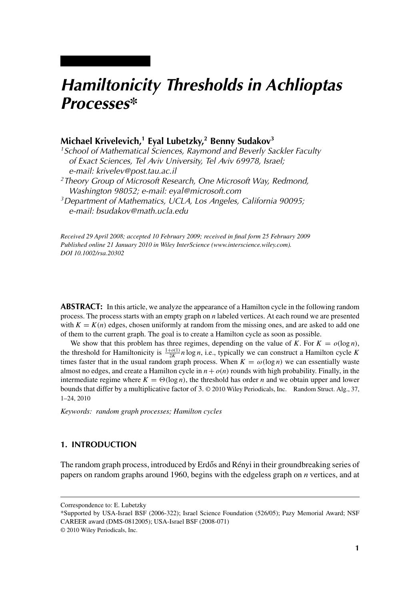# *Hamiltonicity Thresholds in Achlioptas Processes\**

# **Michael Krivelevich,1 Eyal Lubetzky,2 Benny Sudakov3**

*1School of Mathematical Sciences, Raymond and Beverly Sackler Faculty of Exact Sciences, Tel Aviv University, Tel Aviv 69978, Israel; e-mail: krivelev@post.tau.ac.il 2Theory Group of Microsoft Research, One Microsoft Way, Redmond, Washington 98052; e-mail: eyal@microsoft.com*

*3Department of Mathematics, UCLA, Los Angeles, California 90095; e-mail: bsudakov@math.ucla.edu*

*Received 29 April 2008; accepted 10 February 2009; received in final form 25 February 2009 Published online 21 January 2010 in Wiley InterScience (www.interscience.wiley.com). DOI 10.1002/rsa.20302*

**ABSTRACT:** In this article, we analyze the appearance of a Hamilton cycle in the following random process. The process starts with an empty graph on *n* labeled vertices. At each round we are presented with  $K = K(n)$  edges, chosen uniformly at random from the missing ones, and are asked to add one of them to the current graph. The goal is to create a Hamilton cycle as soon as possible.

We show that this problem has three regimes, depending on the value of *K*. For  $K = o(\log n)$ , the threshold for Hamiltonicity is  $\frac{1+o(1)}{2K}n \log n$ , i.e., typically we can construct a Hamilton cycle *K* times faster that in the usual random graph process. When  $K = \omega(\log n)$  we can essentially waste almost no edges, and create a Hamilton cycle in  $n + o(n)$  rounds with high probability. Finally, in the intermediate regime where  $K = \Theta(\log n)$ , the threshold has order *n* and we obtain upper and lower bounds that differ by a multiplicative factor of 3. © 2010 Wiley Periodicals, Inc. Random Struct. Alg., 37, 1–24, 2010

*Keywords: random graph processes; Hamilton cycles*

# **1. INTRODUCTION**

The random graph process, introduced by Erdős and Rényi in their groundbreaking series of papers on random graphs around 1960, begins with the edgeless graph on *n* vertices, and at

Correspondence to: E. Lubetzky

<sup>\*</sup>Supported by USA-Israel BSF (2006-322); Israel Science Foundation (526/05); Pazy Memorial Award; NSF CAREER award (DMS-0812005); USA-Israel BSF (2008-071)

<sup>© 2010</sup> Wiley Periodicals, Inc.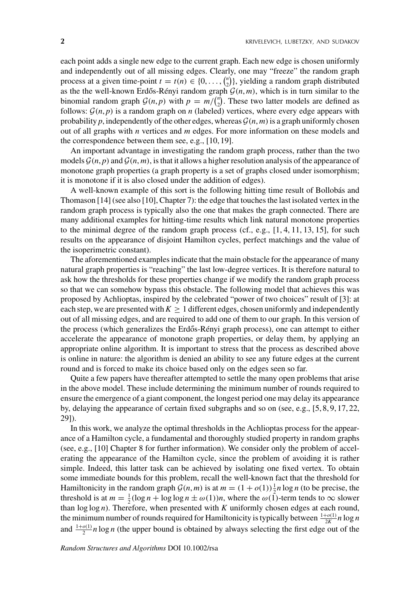each point adds a single new edge to the current graph. Each new edge is chosen uniformly and independently out of all missing edges. Clearly, one may "freeze" the random graph process at a given time-point  $t = t(n) \in \{0, \ldots, {n \choose 2}\}$ , yielding a random graph distributed as the the well-known Erdős-Rényi random graph  $\mathcal{G}(n,m)$ , which is in turn similar to the binomial random graph  $\mathcal{G}(n, p)$  with  $p = m / \binom{n}{2}$ . These two latter models are defined as follows:  $\mathcal{G}(n, p)$  is a random graph on *n* (labeled) vertices, where every edge appears with probability  $p$ , independently of the other edges, whereas  $\mathcal{G}(n, m)$  is a graph uniformly chosen out of all graphs with *n* vertices and *m* edges. For more information on these models and the correspondence between them see, e.g., [10, 19].

An important advantage in investigating the random graph process, rather than the two models  $\mathcal{G}(n, p)$  and  $\mathcal{G}(n, m)$ , is that it allows a higher resolution analysis of the appearance of monotone graph properties (a graph property is a set of graphs closed under isomorphism; it is monotone if it is also closed under the addition of edges).

A well-known example of this sort is the following hitting time result of Bollobás and Thomason [14] (see also [10], Chapter 7): the edge that touches the last isolated vertex in the random graph process is typically also the one that makes the graph connected. There are many additional examples for hitting-time results which link natural monotone properties to the minimal degree of the random graph process (cf., e.g.,  $[1, 4, 11, 13, 15]$ , for such results on the appearance of disjoint Hamilton cycles, perfect matchings and the value of the isoperimetric constant).

The aforementioned examples indicate that the main obstacle for the appearance of many natural graph properties is "reaching" the last low-degree vertices. It is therefore natural to ask how the thresholds for these properties change if we modify the random graph process so that we can somehow bypass this obstacle. The following model that achieves this was proposed by Achlioptas, inspired by the celebrated "power of two choices" result of [3]: at each step, we are presented with  $K > 1$  different edges, chosen uniformly and independently out of all missing edges, and are required to add one of them to our graph. In this version of the process (which generalizes the Erdős-Rényi graph process), one can attempt to either accelerate the appearance of monotone graph properties, or delay them, by applying an appropriate online algorithm. It is important to stress that the process as described above is online in nature: the algorithm is denied an ability to see any future edges at the current round and is forced to make its choice based only on the edges seen so far.

Quite a few papers have thereafter attempted to settle the many open problems that arise in the above model. These include determining the minimum number of rounds required to ensure the emergence of a giant component, the longest period one may delay its appearance by, delaying the appearance of certain fixed subgraphs and so on (see, e.g., [5, 8, 9, 17, 22, 29]).

In this work, we analyze the optimal thresholds in the Achlioptas process for the appearance of a Hamilton cycle, a fundamental and thoroughly studied property in random graphs (see, e.g., [10] Chapter 8 for further information). We consider only the problem of accelerating the appearance of the Hamilton cycle, since the problem of avoiding it is rather simple. Indeed, this latter task can be achieved by isolating one fixed vertex. To obtain some immediate bounds for this problem, recall the well-known fact that the threshold for Hamiltonicity in the random graph  $\mathcal{G}(n, m)$  is at  $m = (1 + o(1))\frac{1}{2}n \log n$  (to be precise, the threshold is at  $m = \frac{1}{2} (\log n + \log \log n \pm \omega(1))n$ , where the  $\omega(\tilde{1})$ -term tends to  $\infty$  slower than  $\log \log n$ ). Therefore, when presented with *K* uniformly chosen edges at each round, the minimum number of rounds required for Hamiltonicity is typically between  $\frac{1+o(1)}{2K}n \log n$ and  $\frac{1+o(1)}{2}n \log n$  (the upper bound is obtained by always selecting the first edge out of the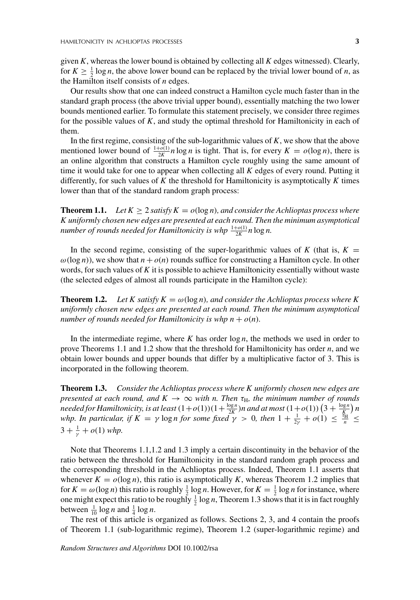given *K*, whereas the lower bound is obtained by collecting all *K* edges witnessed). Clearly, for  $K \geq \frac{1}{2} \log n$ , the above lower bound can be replaced by the trivial lower bound of *n*, as the Hamilton itself consists of *n* edges.

Our results show that one can indeed construct a Hamilton cycle much faster than in the standard graph process (the above trivial upper bound), essentially matching the two lower bounds mentioned earlier. To formulate this statement precisely, we consider three regimes for the possible values of *K*, and study the optimal threshold for Hamiltonicity in each of them.

In the first regime, consisting of the sub-logarithmic values of *K*, we show that the above mentioned lower bound of  $\frac{1+o(1)}{2K}n \log n$  is tight. That is, for every  $K = o(\log n)$ , there is an online algorithm that constructs a Hamilton cycle roughly using the same amount of time it would take for one to appear when collecting all *K* edges of every round. Putting it differently, for such values of *K* the threshold for Hamiltonicity is asymptotically *K* times lower than that of the standard random graph process:

**Theorem 1.1.** *Let*  $K \geq 2$  *satisfy*  $K = o(\log n)$ *, and consider the Achlioptas process where K uniformly chosen new edges are presented at each round. Then the minimum asymptotical number of rounds needed for Hamiltonicity is whp*  $\frac{1+o(1)}{2K}n\log n$ *.* 

In the second regime, consisting of the super-logarithmic values of  $K$  (that is,  $K =$  $\omega(\log n)$ , we show that  $n + o(n)$  rounds suffice for constructing a Hamilton cycle. In other words, for such values of *K* it is possible to achieve Hamiltonicity essentially without waste (the selected edges of almost all rounds participate in the Hamilton cycle):

**Theorem 1.2.** *Let* K satisfy  $K = \omega(\log n)$ , and consider the Achlioptas process where K *uniformly chosen new edges are presented at each round. Then the minimum asymptotical number of rounds needed for Hamiltonicity is whp*  $n + o(n)$ *.* 

In the intermediate regime, where *K* has order log *n*, the methods we used in order to prove Theorems 1.1 and 1.2 show that the threshold for Hamiltonicity has order *n*, and we obtain lower bounds and upper bounds that differ by a multiplicative factor of 3. This is incorporated in the following theorem.

**Theorem 1.3.** *Consider the Achlioptas process where K uniformly chosen new edges are presented at each round, and*  $K \to \infty$  *with n. Then*  $\tau_H$ *, the minimum number of rounds needed for Hamiltonicity, is at least*  $(1+o(1))(1+\frac{\log n}{2K})n$  and at most  $(1+o(1))\left(3+\frac{\log n}{K}\right)n$ *whp.* In particular, if  $K = \gamma \log n$  for some fixed  $\gamma > 0$ , then  $1 + \frac{1}{2\gamma} + o(1) \leq \frac{R_H}{n} \leq$  $3 + \frac{1}{\gamma} + o(1)$  *whp.* 

Note that Theorems 1.1,1.2 and 1.3 imply a certain discontinuity in the behavior of the ratio between the threshold for Hamiltonicity in the standard random graph process and the corresponding threshold in the Achlioptas process. Indeed, Theorem 1.1 asserts that whenever  $K = o(\log n)$ , this ratio is asymptotically *K*, whereas Theorem 1.2 implies that for  $K = \omega(\log n)$  this ratio is roughly  $\frac{1}{2} \log n$ . However, for  $K = \frac{1}{2} \log n$  for instance, where one might expect this ratio to be roughly  $\frac{1}{2} \log n$ , Theorem 1.3 shows that it is in fact roughly between  $\frac{1}{10} \log n$  and  $\frac{1}{4} \log n$ .

The rest of this article is organized as follows. Sections 2, 3, and 4 contain the proofs of Theorem 1.1 (sub-logarithmic regime), Theorem 1.2 (super-logarithmic regime) and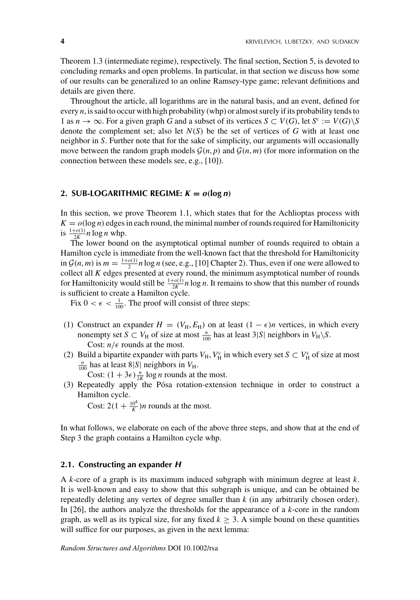Theorem 1.3 (intermediate regime), respectively. The final section, Section 5, is devoted to concluding remarks and open problems. In particular, in that section we discuss how some of our results can be generalized to an online Ramsey-type game; relevant definitions and details are given there.

Throughout the article, all logarithms are in the natural basis, and an event, defined for every *n*, is said to occur with high probability (whp) or almost surely if its probability tends to 1 as  $n \to \infty$ . For a given graph *G* and a subset of its vertices  $S \subset V(G)$ , let  $S^c := V(G) \setminus S$ denote the complement set; also let  $N(S)$  be the set of vertices of G with at least one neighbor in *S*. Further note that for the sake of simplicity, our arguments will occasionally move between the random graph models  $G(n, p)$  and  $G(n, m)$  (for more information on the connection between these models see, e.g., [10]).

## 2. SUB-LOGARITHMIC REGIME:  $K = o(\log n)$

In this section, we prove Theorem 1.1, which states that for the Achlioptas process with  $K = o(\log n)$  edges in each round, the minimal number of rounds required for Hamiltonicity is  $\frac{1+o(1)}{2K}$ *n* log *n* whp.

The lower bound on the asymptotical optimal number of rounds required to obtain a Hamilton cycle is immediate from the well-known fact that the threshold for Hamiltonicity in  $\mathcal{G}(n,m)$  is  $m = \frac{1+o(1)}{2}n \log n$  (see, e.g., [10] Chapter 2). Thus, even if one were allowed to collect all *K* edges presented at every round, the minimum asymptotical number of rounds for Hamiltonicity would still be  $\frac{1+o(1)}{2K}n \log n$ . It remains to show that this number of rounds is sufficient to create a Hamilton cycle.

Fix  $0 < \epsilon < \frac{1}{100}$ . The proof will consist of three steps:

- (1) Construct an expander  $H = (V_H, E_H)$  on at least  $(1 \epsilon)n$  vertices, in which every nonempty set *S*  $\subset$  *V*<sub>H</sub> of size at most  $\frac{n}{100}$  has at least 3|*S*| neighbors in *V*<sub>H</sub> \*S*. Cost:  $n/\epsilon$  rounds at the most.
- (2) Build a bipartite expander with parts  $V_H$ ,  $V_H^c$  in which every set  $S \subset V_H^c$  of size at most  $n \to \infty$  is  $V_H$  $\frac{n}{100}$  has at least 8|*S*| neighbors in *V*<sub>H</sub>.

Cost:  $(1 + 3\epsilon) \frac{n}{2K} \log n$  rounds at the most.

(3) Repeatedly apply the Pósa rotation-extension technique in order to construct a Hamilton cycle.

Cost:  $2(1 + \frac{10^4}{K})n$  rounds at the most.

In what follows, we elaborate on each of the above three steps, and show that at the end of Step 3 the graph contains a Hamilton cycle whp.

#### **2.1. Constructing an expander** *H*

A *k*-core of a graph is its maximum induced subgraph with minimum degree at least *k*. It is well-known and easy to show that this subgraph is unique, and can be obtained be repeatedly deleting any vertex of degree smaller than *k* (in any arbitrarily chosen order). In [26], the authors analyze the thresholds for the appearance of a *k*-core in the random graph, as well as its typical size, for any fixed  $k \geq 3$ . A simple bound on these quantities will suffice for our purposes, as given in the next lemma: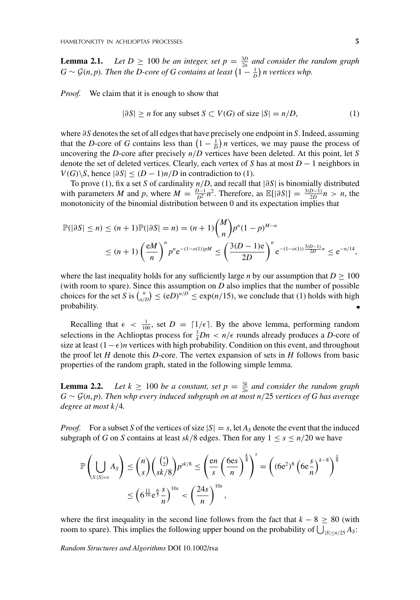**Lemma 2.1.** *Let*  $D \ge 100$  *be an integer, set*  $p = \frac{3D}{2n}$  *and consider the random graph*  $G \sim \mathcal{G}(n, p)$ . Then the D-core of G contains at least  $\left(1 - \frac{1}{D}\right)n$  vertices whp.

*Proof.* We claim that it is enough to show that

$$
|\partial S| \ge n \text{ for any subset } S \subset V(G) \text{ of size } |S| = n/D,
$$
 (1)

where ∂*S* denotes the set of all edges that have precisely one endpoint in *S*. Indeed, assuming that the *D*-core of *G* contains less than  $\left(1 - \frac{1}{D}\right)n$  vertices, we may pause the process of uncovering the *D*-core after precisely *n*/*D* vertices have been deleted. At this point, let *S* denote the set of deleted vertices. Clearly, each vertex of *S* has at most *D* − 1 neighbors in *V*(*G*)\*S*, hence  $|\partial S|$  ≤  $(D - 1)n/D$  in contradiction to (1).

To prove (1), fix a set *S* of cardinality *n*/*D*, and recall that |∂*S*| is binomially distributed with parameters *M* and *p*, where  $M = \frac{D-1}{D^2}n^2$ . Therefore, as  $\mathbb{E}[|\partial S|] = \frac{3(D-1)}{2D}n > n$ , the monotonicity of the binomial distribution between 0 and its expectation implies that

$$
\mathbb{P}(|\partial S| \le n) \le (n+1)\mathbb{P}(|\partial S| = n) = (n+1) {M \choose n} p^n (1-p)^{M-n}
$$
  
 
$$
\le (n+1) \left(\frac{eM}{n}\right)^n p^n e^{-(1-o(1))pM} \le \left(\frac{3(D-1)e}{2D}\right)^n e^{-(1-o(1))\frac{3(D-1)}{2D}n} \le e^{-n/14},
$$

where the last inequality holds for any sufficiently large *n* by our assumption that  $D \ge 100$ (with room to spare). Since this assumption on *D* also implies that the number of possible choices for the set *S* is  $\binom{n}{n/D} \leq (eD)^{n/D} \leq \exp(n/15)$ , we conclude that (1) holds with high probability. Ė

Recalling that  $\epsilon < \frac{1}{100}$ , set  $D = \lfloor 1/\epsilon \rfloor$ . By the above lemma, performing random selections in the Achlioptas process for  $\frac{3}{4}Dn < n/\epsilon$  rounds already produces a *D*-core of size at least  $(1 - \epsilon)n$  vertices with high probability. Condition on this event, and throughout the proof let *H* denote this *D*-core. The vertex expansion of sets in *H* follows from basic properties of the random graph, stated in the following simple lemma.

**Lemma 2.2.** *Let*  $k \geq 100$  *be a constant, set*  $p = \frac{3k}{2n}$  *and consider the random graph G* ∼ G(*n*, *p*)*. Then whp every induced subgraph on at most n*/25 *vertices of G has average degree at most k*/4*.*

*Proof.* For a subset *S* of the vertices of size  $|S| = s$ , let  $A_s$  denote the event that the induced subgraph of *G* on *S* contains at least  $sk/8$  edges. Then for any  $1 \leq s \leq n/20$  we have

$$
\mathbb{P}\left(\bigcup_{S:|S|=s} A_S\right) \leq {n \choose s} {s \choose sk/8} p^{sk/8} \leq \left(\frac{\operatorname{en}}{s} \left(\frac{6\operatorname{es}}{n}\right)^{\frac{k}{8}}\right)^s = \left((6\operatorname{e}^2)^8 \left(6\operatorname{e} \frac{s}{n}\right)^{k-8}\right)^{\frac{s}{8}}
$$

$$
\leq \left(6^{\frac{11}{10}} \operatorname{e}^{\frac{6}{5}} \frac{s}{n}\right)^{10s} < \left(\frac{24s}{n}\right)^{10s},
$$

where the first inequality in the second line follows from the fact that  $k - 8 \geq 80$  (with room to spare). This implies the following upper bound on the probability of  $\bigcup_{|S| \le n/25} A_S$ :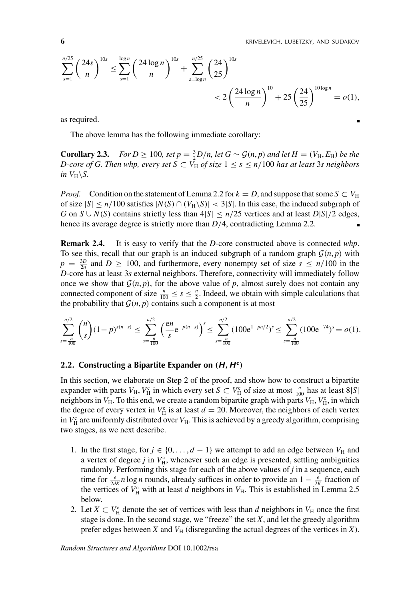$$
\sum_{s=1}^{n/25} \left(\frac{24s}{n}\right)^{10s} \le \sum_{s=1}^{\log n} \left(\frac{24\log n}{n}\right)^{10s} + \sum_{s=\log n}^{n/25} \left(\frac{24}{25}\right)^{10s} \\ < 2\left(\frac{24\log n}{n}\right)^{10} + 25\left(\frac{24}{25}\right)^{10\log n} = o(1),
$$

as required.

The above lemma has the following immediate corollary:

**Corollary 2.3.** *For D* ≥ 100*, set p* =  $\frac{3}{2}$ *D*/*n, let G* ~  $\mathcal{G}(n, p)$  *and let H* = (*V*<sub>H</sub>, *E*<sub>H</sub>) *be the D-core of G. Then whp, every set*  $S \subset V_H$  *of size*  $1 \leq s \leq n/100$  *has at least* 3*s neighbors in V*<sub>H</sub> $\S$ .

*Proof.* Condition on the statement of Lemma 2.2 for  $k = D$ , and suppose that some  $S \subset V_H$ of size  $|S| \le n/100$  satisfies  $|N(S) \cap (V_H \backslash S)| < 3|S|$ . In this case, the induced subgraph of *G* on *S* ∪ *N*(*S*) contains strictly less than  $4|S| ≤ n/25$  vertices and at least *D*|*S*|/2 edges, hence its average degree is strictly more than  $D/4$ , contradicting Lemma 2.2.

**Remark 2.4.** It is easy to verify that the *D*-core constructed above is connected *whp*. To see this, recall that our graph is an induced subgraph of a random graph  $\mathcal{G}(n, p)$  with  $p = \frac{3D}{2n}$  and  $D \ge 100$ , and furthermore, every nonempty set of size  $s \le n/100$  in the *D*-core has at least 3*s* external neighbors. Therefore, connectivity will immediately follow once we show that  $G(n, p)$ , for the above value of p, almost surely does not contain any connected component of size  $\frac{n}{100} \leq s \leq \frac{n}{2}$ . Indeed, we obtain with simple calculations that the probability that  $\mathcal{G}(n, p)$  contains such a component is at most

$$
\sum_{s=\frac{n}{100}}^{n/2} \binom{n}{s} (1-p)^{s(n-s)} \le \sum_{s=\frac{n}{100}}^{n/2} \left(\frac{\text{e}n}{s} \text{e}^{-p(n-s)}\right)^s \le \sum_{s=\frac{n}{100}}^{n/2} (100 \text{e}^{1-pn/2})^s \le \sum_{s=\frac{n}{100}}^{n/2} (100 \text{e}^{-74})^s = o(1).
$$

#### **2.2. Constructing a Bipartite Expander on (***H***,** *H***<sup>c</sup>)**

In this section, we elaborate on Step 2 of the proof, and show how to construct a bipartite expander with parts  $V_H$ ,  $V_H^c$  in which every set  $S \subset V_H^c$  of size at most  $\frac{n}{100}$  has at least  $8|S|$ neighbors in  $V_H$ . To this end, we create a random bipartite graph with parts  $V_H$ ,  $V_H^c$ , in which the degree of every vertex in  $V_H^c$  is at least  $d = 20$ . Moreover, the neighbors of each vertex in  $V_H^c$  are uniformly distributed over  $V_H$ . This is achieved by a greedy algorithm, comprising two stages, as we next describe.

- 1. In the first stage, for  $j \in \{0, \ldots, d-1\}$  we attempt to add an edge between  $V_H$  and a vertex of degree  $j$  in  $V_H^c$ , whenever such an edge is presented, settling ambiguities randomly. Performing this stage for each of the above values of *j* in a sequence, each time for  $\frac{\epsilon}{2dK}$  *n* log *n* rounds, already suffices in order to provide an  $1 - \frac{\epsilon}{2K}$  fraction of the vertices of  $V_H^c$  with at least *d* neighbors in  $V_H$ . This is established in Lemma 2.5 below.
- 2. Let  $X \subset V_H^c$  denote the set of vertices with less than *d* neighbors in  $V_H$  once the first stage is done. In the second stage, we "freeze" the set  $X$ , and let the greedy algorithm prefer edges between *X* and  $V_H$  (disregarding the actual degrees of the vertices in *X*).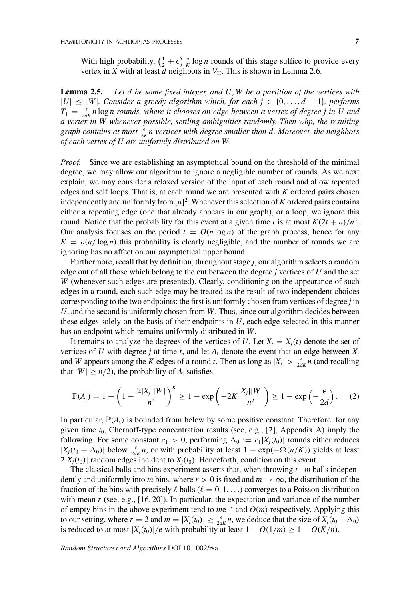With high probability,  $\left(\frac{1}{2} + \epsilon\right) \frac{n}{K} \log n$  rounds of this stage suffice to provide every vertex in *X* with at least *d* neighbors in  $V_H$ . This is shown in Lemma 2.6.

**Lemma 2.5.** *Let d be some fixed integer, and U*, *W be a partition of the vertices with* |*U*|≤|*W*|*. Consider a greedy algorithm which, for each j* ∈ {0, ... , *d* − 1}*, performs*  $T_1 = \frac{\epsilon}{2dK} n \log n$  *rounds, where it chooses an edge between a vertex of degree j in U and a vertex in W whenever possible, settling ambiguities randomly. Then whp, the resulting graph contains at most* <sup>2</sup>*<sup>K</sup> n vertices with degree smaller than d. Moreover, the neighbors of each vertex of U are uniformly distributed on W.*

*Proof.* Since we are establishing an asymptotical bound on the threshold of the minimal degree, we may allow our algorithm to ignore a negligible number of rounds. As we next explain, we may consider a relaxed version of the input of each round and allow repeated edges and self loops. That is, at each round we are presented with *K* ordered pairs chosen independently and uniformly from  $[n]^2$ . Whenever this selection of *K* ordered pairs contains either a repeating edge (one that already appears in our graph), or a loop, we ignore this round. Notice that the probability for this event at a given time *t* is at most  $K(2t + n)/n^2$ . Our analysis focuses on the period  $t = O(n \log n)$  of the graph process, hence for any  $K = o(n/\log n)$  this probability is clearly negligible, and the number of rounds we are ignoring has no affect on our asymptotical upper bound.

Furthermore, recall that by definition, throughout stage *j*, our algorithm selects a random edge out of all those which belong to the cut between the degree *j* vertices of *U* and the set *W* (whenever such edges are presented). Clearly, conditioning on the appearance of such edges in a round, each such edge may be treated as the result of two independent choices corresponding to the two endpoints: the first is uniformly chosen from vertices of degree *j* in *U*, and the second is uniformly chosen from *W*. Thus, since our algorithm decides between these edges solely on the basis of their endpoints in *U*, each edge selected in this manner has an endpoint which remains uniformly distributed in *W*.

It remains to analyze the degrees of the vertices of *U*. Let  $X_i = X_i(t)$  denote the set of vertices of *U* with degree *j* at time *t*, and let  $A_t$  denote the event that an edge between  $X_j$ and *W* appears among the *K* edges of a round *t*. Then as long as  $|X_j| > \frac{\epsilon}{2dK} n$  (and recalling that  $|W| \ge n/2$ , the probability of  $A_t$  satisfies

$$
\mathbb{P}(A_t) = 1 - \left(1 - \frac{2|X_j||W|}{n^2}\right)^K \ge 1 - \exp\left(-2K\frac{|X_j||W|}{n^2}\right) \ge 1 - \exp\left(-\frac{\epsilon}{2d}\right). \tag{2}
$$

In particular,  $\mathbb{P}(A_t)$  is bounded from below by some positive constant. Therefore, for any given time *t*0, Chernoff-type concentration results (see, e.g., [2], Appendix A) imply the following. For some constant  $c_1 > 0$ , performing  $\Delta_0 := c_1 |X_j(t_0)|$  rounds either reduces  $|X_j(t_0 + \Delta_0)|$  below  $\frac{\epsilon}{2dK}n$ , or with probability at least 1 − exp(− $\Omega(n/K)$ ) yields at least  $2|X_j(t_0)|$  random edges incident to  $X_j(t_0)$ . Henceforth, condition on this event.

The classical balls and bins experiment asserts that, when throwing  $r \cdot m$  balls independently and uniformly into *m* bins, where  $r > 0$  is fixed and  $m \to \infty$ , the distribution of the fraction of the bins with precisely  $\ell$  balls ( $\ell = 0, 1, \ldots$ ) converges to a Poisson distribution with mean *r* (see, e.g., [16, 20]). In particular, the expectation and variance of the number of empty bins in the above experiment tend to *m*e−*<sup>r</sup>* and *O*(*m*) respectively. Applying this to our setting, where  $r = 2$  and  $m = |X_j(t_0)| \ge \frac{\epsilon}{2dK}n$ , we deduce that the size of  $X_j(t_0 + \Delta_0)$ is reduced to at most  $|X_j(t_0)|/e$  with probability at least  $1 - O(1/m) \ge 1 - O(K/n)$ .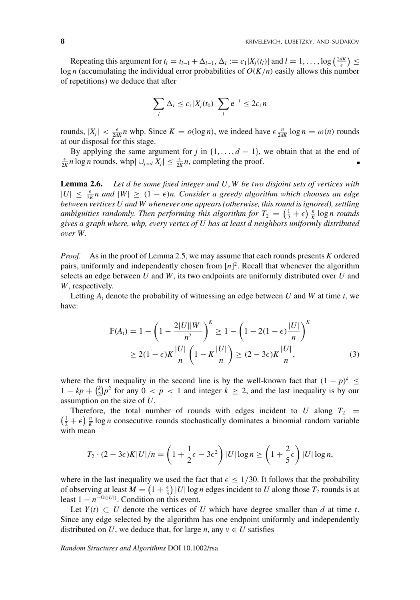Repeating this argument for  $t_l = t_{l-1} + \Delta_{l-1}$ ,  $\Delta_l := c_1 |X_j(t_l)|$  and  $l = 1, ..., \log \left( \frac{2dK}{\epsilon} \right) \leq$ log *n* (accumulating the individual error probabilities of *O*(*K*/*n*) easily allows this number of repetitions) we deduce that after

$$
\sum_{l} \Delta_l \leq c_1 |X_j(t_0)| \sum_{l} e^{-l} \leq 2c_1 n
$$

rounds,  $|X_j| < \frac{\epsilon}{2dK} n$  whp. Since  $K = o(\log n)$ , we indeed have  $\epsilon \frac{n}{2dK} \log n = \omega(n)$  rounds at our disposal for this stage.

By applying the same argument for *j* in  $\{1, \ldots, d-1\}$ , we obtain that at the end of  $\frac{\epsilon}{2K}$ *n* log *n* rounds, whp $| \cup_{j \le d} X_j |$  ≤  $\frac{\epsilon}{2K}$ *n*, completing the proof.

**Lemma 2.6.** *Let d be some fixed integer and U*, *W be two disjoint sets of vertices with*  $|U|$  ≤  $\frac{\epsilon}{2K}$ *n and*  $|W|$  ≥ (1 −  $\epsilon$ )*n. Consider a greedy algorithm which chooses an edge between vertices U and W whenever one appears (otherwise, this round is ignored), settling ambiguities randomly. Then performing this algorithm for*  $T_2 = \left(\frac{1}{2} + \epsilon\right) \frac{n}{K} \log n$  rounds *gives a graph where, whp, every vertex of U has at least d neighbors uniformly distributed over W.*

*Proof.* As in the proof of Lemma 2.5, we may assume that each rounds presents *K* ordered pairs, uniformly and independently chosen from [*n*] 2. Recall that whenever the algorithm selects an edge between *U* and *W*, its two endpoints are uniformly distributed over *U* and *W*, respectively.

Letting  $A_t$  denote the probability of witnessing an edge between  $U$  and  $W$  at time  $t$ , we have:

$$
\mathbb{P}(A_t) = 1 - \left(1 - \frac{2|U||W|}{n^2}\right)^K \ge 1 - \left(1 - 2(1 - \epsilon)\frac{|U|}{n}\right)^K
$$
  
\n
$$
\ge 2(1 - \epsilon)K\frac{|U|}{n}\left(1 - K\frac{|U|}{n}\right) \ge (2 - 3\epsilon)K\frac{|U|}{n},
$$
\n(3)

where the first inequality in the second line is by the well-known fact that  $(1 - p)^k \le$  $1 - kp + {k \choose 2}p^2$  for any  $0 < p < 1$  and integer  $k \ge 2$ , and the last inequality is by our assumption on the size of *U*.

Therefore, the total number of rounds with edges incident to *U* along  $T_2 = (\frac{1}{2} + \epsilon) \frac{n}{K} \log n$  consecutive rounds stochastically dominates a binomial random variable with mean

$$
T_2 \cdot (2 - 3\epsilon)K|U|/n = \left(1 + \frac{1}{2}\epsilon - 3\epsilon^2\right)|U| \log n \ge \left(1 + \frac{2}{5}\epsilon\right)|U| \log n,
$$

where in the last inequality we used the fact that  $\epsilon \leq 1/30$ . It follows that the probability of observing at least  $M = \left(1 + \frac{\epsilon}{3}\right)|U| \log n$  edges incident to *U* along those  $T_2$  rounds is at least  $1 - n^{-\Omega(|U|)}$ . Condition on this event.

Let *Y*(*t*)  $\subset$  *U* denote the vertices of *U* which have degree smaller than *d* at time *t*. Since any edge selected by the algorithm has one endpoint uniformly and independently distributed on *U*, we deduce that, for large *n*, any  $v \in U$  satisfies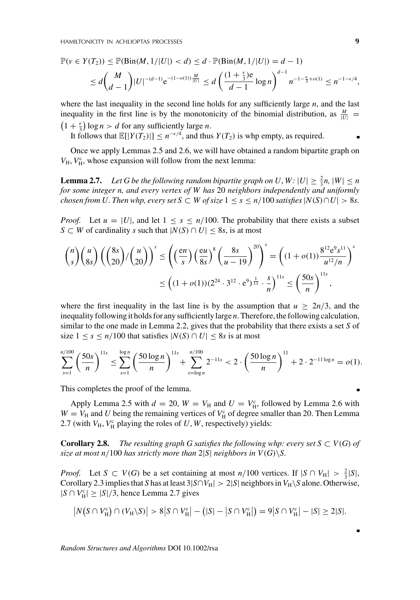$$
\mathbb{P}(v \in Y(T_2)) \le \mathbb{P}(\text{Bin}(M, 1/|U|) < d) \le d \cdot \mathbb{P}(\text{Bin}(M, 1/|U|) = d - 1) \\
\le d \binom{M}{d-1} |U|^{-(d-1)} e^{-(1-o(1)) \frac{M}{|U|}} \le d \left( \frac{(1 + \frac{\epsilon}{3})e}{d-1} \log n \right)^{d-1} n^{-1 - \frac{\epsilon}{3} + o(1)} \le n^{-1 - \epsilon/4},
$$

where the last inequality in the second line holds for any sufficiently large *n*, and the last inequality in the first line is by the monotonicity of the binomial distribution, as  $\frac{M}{|U|}$  =  $(1 + \frac{\epsilon}{2}) \log n > d$  for any sufficiently large *n*.  $1 + \frac{\epsilon}{3}$  log  $n > d$  for any sufficiently large *n*.

It follows that  $\mathbb{E}[|Y(T_2)|] \le n^{-\epsilon/4}$ , and thus  $Y(T_2)$  is whp empty, as required.

Once we apply Lemmas 2.5 and 2.6, we will have obtained a random bipartite graph on  $V_{\rm H}$ ,  $V_{\rm H}^{\rm c}$ , whose expansion will follow from the next lemma:

**Lemma 2.7.** Let G be the following random bipartite graph on U, W:  $|U| \geq \frac{2}{3}n$ ,  $|W| \leq n$ *for some integer n, and every vertex of W has* 20 *neighbors independently and uniformly chosen from U. Then whp, every set*  $S \subset W$  *of size*  $1 \leq s \leq n/100$  *satisfies*  $|N(S) \cap U| > 8s$ .

*Proof.* Let  $u = |U|$ , and let  $1 \leq s \leq n/100$ . The probability that there exists a subset *S* ⊂ *W* of cardinality *s* such that  $|N(S) \cap U|$  ≤ 8*s*, is at most

$$
\binom{n}{s} \binom{u}{8s} \left( \binom{8s}{20} / \binom{u}{20} \right)^s \le \left( \left( \frac{en}{s} \right) \left( \frac{eu}{8s} \right)^8 \left( \frac{8s}{u - 19} \right)^{20} \right)^s = \left( (1 + o(1)) \frac{8^{12} e^9 s^{11}}{u^{12}/n} \right)^s
$$

$$
\le \left( (1 + o(1))(2^{24} \cdot 3^{12} \cdot e^9)^{\frac{1}{11}} \cdot \frac{s}{n} \right)^{11s} \le \left( \frac{50s}{n} \right)^{11s},
$$

where the first inequality in the last line is by the assumption that  $u \geq 2n/3$ , and the inequality following it holds for any sufficiently large *n*. Therefore, the following calculation, similar to the one made in Lemma 2.2, gives that the probability that there exists a set *S* of size  $1 \leq s \leq n/100$  that satisfies  $|N(S) \cap U| \leq 8s$  is at most

$$
\sum_{s=1}^{n/100} \left(\frac{50s}{n}\right)^{11s} \le \sum_{s=1}^{\log n} \left(\frac{50\log n}{n}\right)^{11s} + \sum_{s=\log n}^{n/100} 2^{-11s} < 2 \cdot \left(\frac{50\log n}{n}\right)^{11} + 2 \cdot 2^{-11\log n} = o(1).
$$

This completes the proof of the lemma.

Apply Lemma 2.5 with  $d = 20$ ,  $W = V_H$  and  $U = V_H^c$ , followed by Lemma 2.6 with  $W = V_H$  and *U* being the remaining vertices of  $V_H^c$  of degree smaller than 20. Then Lemma 2.7 (with  $V_H$ ,  $V_H^c$  playing the roles of *U*, *W*, respectively) yields:

**Corollary 2.8.** *The resulting graph G satisfies the following whp: every set*  $S \subset V(G)$  *of size at most n*/100 *has strictly more than*  $2|S|$  *neighbors in*  $V(G)\S$ .

*Proof.* Let  $S \subset V(G)$  be a set containing at most  $n/100$  vertices. If  $|S \cap V_H| > \frac{2}{3}|S|$ , Corollary 2.3 implies that *S* has at least 3|*S*∩*V*<sub>H</sub>| > 2|*S*| neighbors in *V*<sub>H</sub> \*S* alone. Otherwise,  $|S \cap V_H^c|$  ≥  $|S|/3$ , hence Lemma 2.7 gives

$$
|N(S \cap V_{\rm H}^{\rm c}) \cap (V_{\rm H} \setminus S)| > 8|S \cap V_{\rm H}^{\rm c}| - (|S| - |S \cap V_{\rm H}^{\rm c}|) = 9|S \cap V_{\rm H}^{\rm c}| - |S| \ge 2|S|.
$$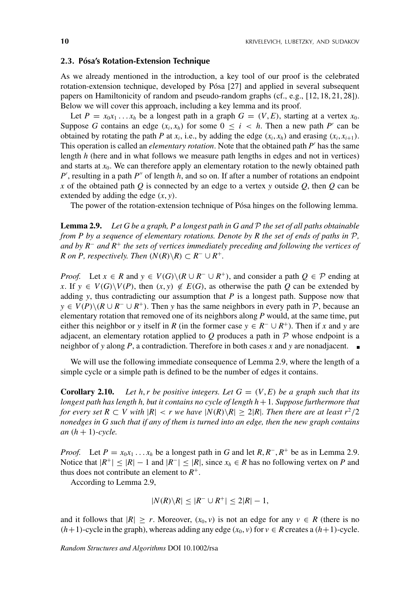#### **2.3. Pósa's Rotation-Extension Technique**

As we already mentioned in the introduction, a key tool of our proof is the celebrated rotation-extension technique, developed by Pósa [27] and applied in several subsequent papers on Hamiltonicity of random and pseudo-random graphs (cf., e.g., [12, 18, 21, 28]). Below we will cover this approach, including a key lemma and its proof.

Let  $P = x_0x_1 \ldots x_h$  be a longest path in a graph  $G = (V, E)$ , starting at a vertex  $x_0$ . Suppose *G* contains an edge  $(x_i, x_h)$  for some  $0 \le i \le h$ . Then a new path *P'* can be obtained by rotating the path *P* at  $x_i$ , i.e., by adding the edge  $(x_i, x_h)$  and erasing  $(x_i, x_{i+1})$ . This operation is called an *elementary rotation*. Note that the obtained path *P* has the same length *h* (here and in what follows we measure path lengths in edges and not in vertices) and starts at  $x_0$ . We can therefore apply an elementary rotation to the newly obtained path *P'*, resulting in a path *P*<sup>"</sup> of length *h*, and so on. If after a number of rotations an endpoint *x* of the obtained path *Q* is connected by an edge to a vertex *y* outside *Q*, then *Q* can be extended by adding the edge (*x*, *y*).

The power of the rotation-extension technique of Pósa hinges on the following lemma.

**Lemma 2.9.** *Let G be a graph, P a longest path in G and* P *the set of all paths obtainable from P by a sequence of elementary rotations. Denote by R the set of ends of paths in* P, *and by R*<sup>−</sup> *and R*<sup>+</sup> *the sets of vertices immediately preceding and following the vertices of R* on *P*, respectively. Then  $(N(R)\backslash R) \subset R^{-} \cup R^{+}$ .

*Proof.* Let  $x \in R$  and  $y \in V(G) \setminus (R \cup R^{-} \cup R^{+})$ , and consider a path  $Q \in \mathcal{P}$  ending at *x*. If *y* ∈ *V*(*G*)\*V*(*P*), then  $(x, y) \notin E(G)$ , as otherwise the path *Q* can be extended by adding  $y$ , thus contradicting our assumption that  $P$  is a longest path. Suppose now that  $y \in V(P) \setminus (R \cup R^{-} \cup R^{+})$ . Then *y* has the same neighbors in every path in P, because an elementary rotation that removed one of its neighbors along *P* would, at the same time, put either this neighbor or *y* itself in *R* (in the former case  $y \in R^- \cup R^+$ ). Then if *x* and *y* are adjacent, an elementary rotation applied to  $Q$  produces a path in  $\mathcal P$  whose endpoint is a neighbor of *y* along *P*, a contradiction. Therefore in both cases *x* and *y* are nonadjacent.

We will use the following immediate consequence of Lemma 2.9, where the length of a simple cycle or a simple path is defined to be the number of edges it contains.

**Corollary 2.10.** Let h, r be positive integers. Let  $G = (V, E)$  be a graph such that its *longest path has length h, but it contains no cycle of length h*+1*. Suppose furthermore that for every set R*  $\subset$  *V with*  $|R|$  < *r we have*  $|N(R) \setminus R| \ge 2|R|$ *. Then there are at least r*<sup>2</sup>/2 *nonedges in G such that if any of them is turned into an edge, then the new graph contains*  $an(h+1)$ -cycle.

*Proof.* Let  $P = x_0x_1 \ldots x_h$  be a longest path in *G* and let  $R, R^-, R^+$  be as in Lemma 2.9. Notice that  $|R^+| \leq |R| - 1$  and  $|R^-| \leq |R|$ , since  $x_h \in R$  has no following vertex on *P* and thus does not contribute an element to  $R^+$ .

According to Lemma 2.9,

$$
|N(R)\backslash R| \leq |R^- \cup R^+| \leq 2|R| - 1,
$$

and it follows that  $|R| \ge r$ . Moreover,  $(x_0, v)$  is not an edge for any  $v \in R$  (there is no  $(h+1)$ -cycle in the graph), whereas adding any edge  $(x_0, v)$  for  $v \in R$  creates a  $(h+1)$ -cycle.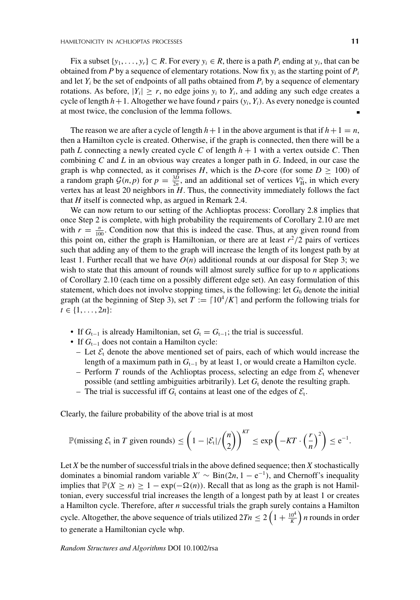Fix a subset  $\{y_1, \ldots, y_r\} \subset R$ . For every  $y_i \in R$ , there is a path  $P_i$  ending at  $y_i$ , that can be obtained from *P* by a sequence of elementary rotations. Now fix  $y_i$  as the starting point of  $P_i$ and let  $Y_i$  be the set of endpoints of all paths obtained from  $P_i$  by a sequence of elementary rotations. As before,  $|Y_i| \ge r$ , no edge joins  $y_i$  to  $Y_i$ , and adding any such edge creates a cycle of length  $h+1$ . Altogether we have found *r* pairs  $(y_i, Y_i)$ . As every nonedge is counted at most twice, the conclusion of the lemma follows.

The reason we are after a cycle of length  $h+1$  in the above argument is that if  $h+1 = n$ , then a Hamilton cycle is created. Otherwise, if the graph is connected, then there will be a path *L* connecting a newly created cycle *C* of length  $h + 1$  with a vertex outside *C*. Then combining *C* and *L* in an obvious way creates a longer path in *G*. Indeed, in our case the graph is whp connected, as it comprises *H*, which is the *D*-core (for some  $D \ge 100$ ) of a random graph  $G(n, p)$  for  $p = \frac{3D}{2n}$ , and an additional set of vertices  $V_{\text{H}}^{\text{c}}$ , in which every vertex has at least 20 neighbors in *H*. Thus, the connectivity immediately follows the fact that *H* itself is connected whp, as argued in Remark 2.4.

We can now return to our setting of the Achlioptas process: Corollary 2.8 implies that once Step 2 is complete, with high probability the requirements of Corollary 2.10 are met with  $r = \frac{n}{100}$ . Condition now that this is indeed the case. Thus, at any given round from this point on, either the graph is Hamiltonian, or there are at least  $r^2/2$  pairs of vertices such that adding any of them to the graph will increase the length of its longest path by at least 1. Further recall that we have  $O(n)$  additional rounds at our disposal for Step 3; we wish to state that this amount of rounds will almost surely suffice for up to *n* applications of Corollary 2.10 (each time on a possibly different edge set). An easy formulation of this statement, which does not involve stopping times, is the following: let  $G_0$  denote the initial graph (at the beginning of Step 3), set  $T := [10^4/K]$  and perform the following trials for  $t \in \{1, \ldots, 2n\}$ :

- If  $G_{t-1}$  is already Hamiltonian, set  $G_t = G_{t-1}$ ; the trial is successful.
- If *G*<sup>t</sup>−<sup>1</sup> does not contain a Hamilton cycle:
	- Let  $\mathcal{E}_t$  denote the above mentioned set of pairs, each of which would increase the length of a maximum path in *G*<sup>t</sup>−<sup>1</sup> by at least 1, or would create a Hamilton cycle.
	- Perform *T* rounds of the Achlioptas process, selecting an edge from  $\mathcal{E}_t$  whenever possible (and settling ambiguities arbitrarily). Let  $G_t$  denote the resulting graph.
	- The trial is successful iff  $G_t$  contains at least one of the edges of  $\mathcal{E}_t$ .

Clearly, the failure probability of the above trial is at most

$$
\mathbb{P}(\text{missing } \mathcal{E}_t \text{ in } T \text{ given rounds}) \le \left(1 - |\mathcal{E}_t| / \binom{n}{2}\right)^{KT} \le \exp\left(-KT \cdot \left(\frac{r}{n}\right)^2\right) \le e^{-1}.
$$

Let *X* be the number of successful trials in the above defined sequence; then *X* stochastically dominates a binomial random variable  $X' \sim \text{Bin}(2n, 1 - e^{-1})$ , and Chernoff's inequality implies that  $\mathbb{P}(X \ge n) \ge 1 - \exp(-\Omega(n))$ . Recall that as long as the graph is not Hamiltonian, every successful trial increases the length of a longest path by at least 1 or creates a Hamilton cycle. Therefore, after *n* successful trials the graph surely contains a Hamilton cycle. Altogether, the above sequence of trials utilized  $2Tn \leq 2\left(1+\frac{10^4}{K}\right)n$  rounds in order to generate a Hamiltonian cycle whp.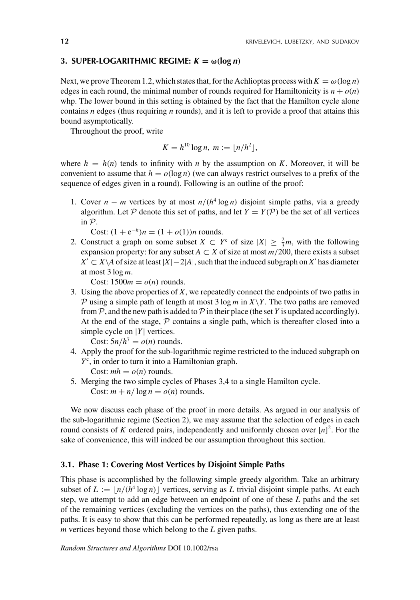## **3. SUPER-LOGARITHMIC REGIME:**  $K = \omega(\log n)$

Next, we prove Theorem 1.2, which states that, for the Achlioptas process with  $K = \omega(\log n)$ edges in each round, the minimal number of rounds required for Hamiltonicity is  $n + o(n)$ whp. The lower bound in this setting is obtained by the fact that the Hamilton cycle alone contains *n* edges (thus requiring *n* rounds), and it is left to provide a proof that attains this bound asymptotically.

Throughout the proof, write

$$
K = h^{10} \log n, m := \lfloor n/h^2 \rfloor,
$$

where  $h = h(n)$  tends to infinity with *n* by the assumption on *K*. Moreover, it will be convenient to assume that  $h = o(\log n)$  (we can always restrict ourselves to a prefix of the sequence of edges given in a round). Following is an outline of the proof:

1. Cover  $n - m$  vertices by at most  $n/(h^4 \log n)$  disjoint simple paths, via a greedy algorithm. Let  $P$  denote this set of paths, and let  $Y = Y(P)$  be the set of all vertices in P.

Cost:  $(1 + e^{-h})n = (1 + o(1))n$  rounds.

2. Construct a graph on some subset  $X \subset Y^c$  of size  $|X| \geq \frac{2}{3}m$ , with the following expansion property: for any subset  $A \subset X$  of size at most  $m/200$ , there exists a subset  $X' \subset X \setminus A$  of size at least  $|X| - 2|A|$ , such that the induced subgraph on  $X'$  has diameter at most 3 log *m*.

Cost:  $1500m = o(n)$  rounds.

3. Using the above properties of *X*, we repeatedly connect the endpoints of two paths in P using a simple path of length at most  $3 \log m$  in  $X \ Y$ . The two paths are removed from  $P$ , and the new path is added to  $P$  in their place (the set *Y* is updated accordingly). At the end of the stage,  $P$  contains a single path, which is thereafter closed into a simple cycle on |*Y*| vertices.

Cost:  $5n/h^7 = o(n)$  rounds.

- 4. Apply the proof for the sub-logarithmic regime restricted to the induced subgraph on *Y*c , in order to turn it into a Hamiltonian graph.
	- Cost:  $mh = o(n)$  rounds.
- 5. Merging the two simple cycles of Phases 3,4 to a single Hamilton cycle. Cost:  $m + n/\log n = o(n)$  rounds.

We now discuss each phase of the proof in more details. As argued in our analysis of the sub-logarithmic regime (Section 2), we may assume that the selection of edges in each round consists of *K* ordered pairs, independently and uniformly chosen over  $[n]^2$ . For the sake of convenience, this will indeed be our assumption throughout this section.

# **3.1. Phase 1: Covering Most Vertices by Disjoint Simple Paths**

This phase is accomplished by the following simple greedy algorithm. Take an arbitrary subset of  $L := \frac{n}{(h^4 \log n)}$  vertices, serving as L trivial disjoint simple paths. At each step, we attempt to add an edge between an endpoint of one of these *L* paths and the set of the remaining vertices (excluding the vertices on the paths), thus extending one of the paths. It is easy to show that this can be performed repeatedly, as long as there are at least *m* vertices beyond those which belong to the *L* given paths.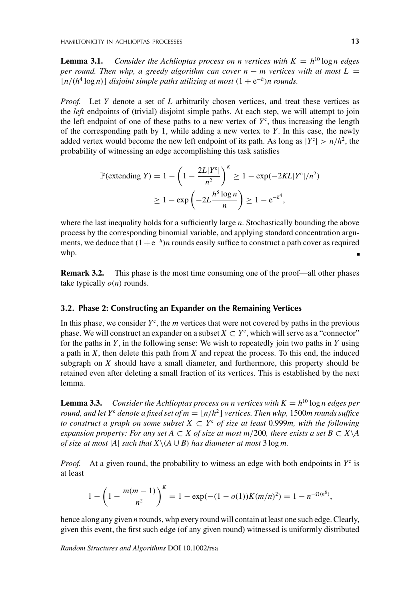**Lemma 3.1.** *Consider the Achlioptas process on n vertices with*  $K = h^{10} \log n$  *edges per round. Then whp, a greedy algorithm can cover n – m vertices with at most*  $L =$  $\lfloor n/(h^4 \log n) \rfloor$  *disjoint simple paths utilizing at most*  $(1 + e^{-h})$ *n rounds.* 

*Proof.* Let *Y* denote a set of *L* arbitrarily chosen vertices, and treat these vertices as the *left* endpoints of (trivial) disjoint simple paths. At each step, we will attempt to join the left endpoint of one of these paths to a new vertex of  $Y<sup>c</sup>$ , thus increasing the length of the corresponding path by 1, while adding a new vertex to *Y*. In this case, the newly added vertex would become the new left endpoint of its path. As long as  $|Y^c| > n/h^2$ , the probability of witnessing an edge accomplishing this task satisfies

$$
\mathbb{P}(\text{extending } Y) = 1 - \left(1 - \frac{2L|Y^c|}{n^2}\right)^K \ge 1 - \exp(-2KL|Y^c|/n^2)
$$

$$
\ge 1 - \exp\left(-2L\frac{h^8 \log n}{n}\right) \ge 1 - e^{-h^4},
$$

where the last inequality holds for a sufficiently large *n*. Stochastically bounding the above process by the corresponding binomial variable, and applying standard concentration arguments, we deduce that  $(1+e^{-h})n$  rounds easily suffice to construct a path cover as required whp.

**Remark 3.2.** This phase is the most time consuming one of the proof—all other phases take typically  $o(n)$  rounds.

# **3.2. Phase 2: Constructing an Expander on the Remaining Vertices**

In this phase, we consider  $Y<sup>c</sup>$ , the *m* vertices that were not covered by paths in the previous phase. We will construct an expander on a subset  $X \subset Y^c$ , which will serve as a "connector" for the paths in *Y*, in the following sense: We wish to repeatedly join two paths in *Y* using a path in *X*, then delete this path from *X* and repeat the process. To this end, the induced subgraph on *X* should have a small diameter, and furthermore, this property should be retained even after deleting a small fraction of its vertices. This is established by the next lemma.

**Lemma 3.3.** *Consider the Achlioptas process on n vertices with*  $K = h^{10} \log n$  *edges per round, and let Y<sup>c</sup> denote a fixed set of*  $m = |n/h^2|$  *vertices. Then whp, 1500<i>m rounds suffice to construct a graph on some subset*  $X \subset Y^c$  *of size at least* 0.999*m, with the following expansion property: For any set A*  $\subset X$  *of size at most m*/200*, there exists a set B*  $\subset X\backslash A$ *of size at most*  $|A|$  *such that*  $X \setminus (A \cup B)$  *has diameter at most* 3 log *m*.

*Proof.* At a given round, the probability to witness an edge with both endpoints in  $Y<sup>c</sup>$  is at least

$$
1 - \left(1 - \frac{m(m-1)}{n^2}\right)^K = 1 - \exp(-(1 - o(1))K(m/n)^2) = 1 - n^{-\Omega(h^6)},
$$

hence along any given *n* rounds, whp every round will contain at least one such edge. Clearly, given this event, the first such edge (of any given round) witnessed is uniformly distributed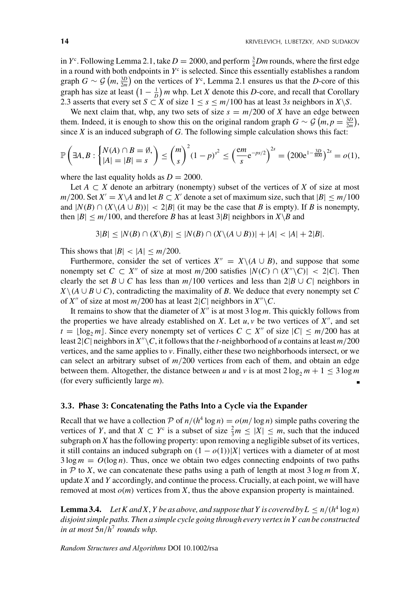in  $Y^c$ . Following Lemma 2.1, take  $D = 2000$ , and perform  $\frac{3}{4}Dm$  rounds, where the first edge in a round with both endpoints in  $Y<sup>c</sup>$  is selected. Since this essentially establishes a random graph  $G \sim \mathcal{G}(m, \frac{3D}{2m})$  on the vertices of  $Y^c$ , Lemma 2.1 ensures us that the *D*-core of this graph has size at least  $\left(1 - \frac{1}{D}\right)m$  whp. Let *X* denote this *D*-core, and recall that Corollary 2.3 asserts that every set *S* ⊂ *X* of size  $1 \le s \le m/100$  has at least 3*s* neighbors in *X*\*S*.

We next claim that, whp, any two sets of size  $s = m/200$  of *X* have an edge between them. Indeed, it is enough to show this on the original random graph  $G \sim \mathcal{G} (m, p = \frac{3D}{2m})$ , since  $X$  is an induced subgraph of  $G$ . The following simple calculation shows this fact:

$$
\mathbb{P}\left(\exists A, B : \begin{cases} N(A) \cap B = \emptyset, \\ |A| = |B| = s \end{cases}\right) \le {m \choose s}^2 (1-p)^{s^2} \le \left(\frac{em}{s} e^{-ps/2}\right)^{2s} = (200e^{1-\frac{3D}{800}})^{2s} = o(1),
$$

where the last equality holds as  $D = 2000$ .

Let  $A \subset X$  denote an arbitrary (nonempty) subset of the vertices of X of size at most  $m/200$ . Set  $X' = X \setminus A$  and let  $B \subset X'$  denote a set of maximum size, such that  $|B| \le m/100$ and  $|N(B) \cap (X \setminus (A \cup B))|$  < 2|*B*| (it may be the case that *B* is empty). If *B* is nonempty, then  $|B| \le m/100$ , and therefore *B* has at least 3|*B*| neighbors in  $X \setminus B$  and

$$
3|B| \leq |N(B) \cap (X \setminus B)| \leq |N(B) \cap (X \setminus (A \cup B))| + |A| < |A| + 2|B|.
$$

This shows that  $|B| < |A| \le m/200$ .

Furthermore, consider the set of vertices  $X'' = X \setminus (A \cup B)$ , and suppose that some nonempty set  $C \subset X''$  of size at most  $m/200$  satisfies  $|N(C) \cap (X'' \backslash C)| < 2|C|$ . Then clearly the set *B* ∪ *C* has less than  $m/100$  vertices and less than  $2|B \cup C|$  neighbors in  $X \setminus (A \cup B \cup C)$ , contradicting the maximality of *B*. We deduce that every nonempty set *C* of *X*<sup>*n*</sup> of size at most *m*/200 has at least 2|*C*| neighbors in  $X''\backslash C$ .

It remains to show that the diameter of  $X''$  is at most  $3 \log m$ . This quickly follows from the properties we have already established on  $X$ . Let  $u, v$  be two vertices of  $X''$ , and set  $t = \lfloor \log_2 m \rfloor$ . Since every nonempty set of vertices  $C \subset X''$  of size  $|C| \leq m/200$  has at least 2|*C*| neighbors in  $X''\backslash C$ , it follows that the *t*-neighborhood of *u* contains at least  $m/200$ vertices, and the same applies to *v*. Finally, either these two neighborhoods intersect, or we can select an arbitrary subset of  $m/200$  vertices from each of them, and obtain an edge between them. Altogether, the distance between *u* and *v* is at most  $2 \log_2 m + 1 \leq 3 \log m$ (for every sufficiently large *m*).

## **3.3. Phase 3: Concatenating the Paths Into a Cycle via the Expander**

Recall that we have a collection P of  $n/(h^4 \log n) = o(m/\log n)$  simple paths covering the vertices of *Y*, and that  $X \subset Y^c$  is a subset of size  $\frac{2}{3}m \leq |X| \leq m$ , such that the induced subgraph on *X* has the following property: upon removing a negligible subset of its vertices, it still contains an induced subgraph on  $(1 - o(1))|X|$  vertices with a diameter of at most  $3 \log m = O(\log n)$ . Thus, once we obtain two edges connecting endpoints of two paths in  $P$  to *X*, we can concatenate these paths using a path of length at most 3 log *m* from *X*, update *X* and *Y* accordingly, and continue the process. Crucially, at each point, we will have removed at most  $o(m)$  vertices from *X*, thus the above expansion property is maintained.

**Lemma 3.4.** *Let K and X, Y be as above, and suppose that Y is covered by*  $L \le n/(h^4 \log n)$ *disjoint simple paths. Then a simple cycle going through every vertex in Y can be constructed in at most* 5*n*/*h*<sup>7</sup> *rounds whp.*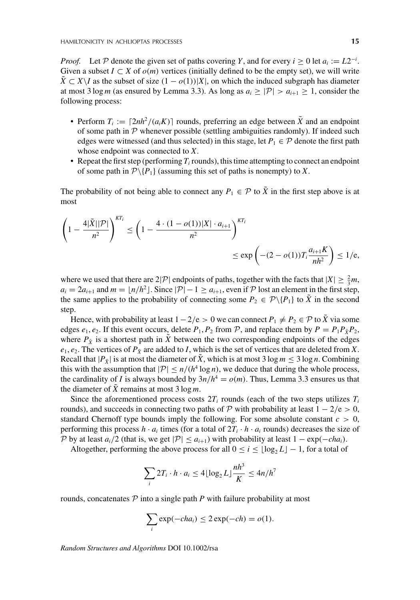*Proof.* Let P denote the given set of paths covering Y, and for every  $i \ge 0$  let  $a_i := L2^{-i}$ . Given a subset  $I \subset X$  of  $o(m)$  vertices (initially defined to be the empty set), we will write  $\hat{X} \subset X \setminus I$  as the subset of size  $(1 - o(1))|X|$ , on which the induced subgraph has diameter at most 3 log *m* (as ensured by Lemma 3.3). As long as  $a_i \geq |\mathcal{P}| > a_{i+1} \geq 1$ , consider the following process:

- Perform  $T_i := \left[2nh^2/(a_i K)\right]$  rounds, preferring an edge between  $\tilde{X}$  and an endpoint of some path in  $P$  whenever possible (settling ambiguities randomly). If indeed such edges were witnessed (and thus selected) in this stage, let  $P_1 \in \mathcal{P}$  denote the first path whose endpoint was connected to *X*.
- Repeat the first step (performing  $T_i$  rounds), this time attempting to connect an endpoint of some path in  $\mathcal{P}\backslash\{P_1\}$  (assuming this set of paths is nonempty) to *X*.

The probability of not being able to connect any  $P_1 \in \mathcal{P}$  to  $\tilde{X}$  in the first step above is at most

$$
\left(1 - \frac{4|\tilde{X}||\mathcal{P}|}{n^2}\right)^{KT_i} \le \left(1 - \frac{4 \cdot (1 - o(1))|X| \cdot a_{i+1}}{n^2}\right)^{KT_i} \le \exp\left(-(2 - o(1))T_i \frac{a_{i+1}K}{nh^2}\right) \le 1/\epsilon,
$$

where we used that there are  $2|\mathcal{P}|$  endpoints of paths, together with the facts that  $|X| \geq \frac{2}{3}m$ ,  $a_i = 2a_{i+1}$  and  $m = \lfloor n/h^2 \rfloor$ . Since  $|\mathcal{P}| - 1 \ge a_{i+1}$ , even if  $\mathcal P$  lost an element in the first step, the same applies to the probability of connecting some  $P_2 \in \mathcal{P} \setminus \{P_1\}$  to  $\bar{X}$  in the second step.

Hence, with probability at least  $1 - 2/e > 0$  we can connect  $P_1 \neq P_2 \in \mathcal{P}$  to  $\tilde{X}$  via some edges  $e_1$ ,  $e_2$ . If this event occurs, delete  $P_1$ ,  $P_2$  from  $P$ , and replace them by  $P = P_1 P_{\tilde{X}} P_2$ , where  $P_{\tilde{X}}$  is a shortest path in  $\tilde{X}$  between the two corresponding endpoints of the edges  $e_1, e_2$ . The vertices of  $P_{\tilde{X}}$  are added to *I*, which is the set of vertices that are deleted from *X*. Recall that  $|P_{\tilde{Y}}|$  is at most the diameter of  $\tilde{X}$ , which is at most 3 log  $m \leq 3 \log n$ . Combining this with the assumption that  $|\mathcal{P}| \le n/(h^4 \log n)$ , we deduce that during the whole process, the cardinality of *I* is always bounded by  $3n/h^4 = o(m)$ . Thus, Lemma 3.3 ensures us that the diameter of  $\tilde{X}$  remains at most 3 log *m*.

Since the aforementioned process costs  $2T_i$  rounds (each of the two steps utilizes  $T_i$ rounds), and succeeds in connecting two paths of P with probability at least  $1 - 2/e > 0$ , standard Chernoff type bounds imply the following. For some absolute constant  $c > 0$ , performing this process  $h \cdot a_i$  times (for a total of  $2T_i \cdot h \cdot a_i$  rounds) decreases the size of P by at least  $a_i/2$  (that is, we get  $|\mathcal{P}| \le a_{i+1}$ ) with probability at least  $1 - \exp(-cha_i)$ .

Altogether, performing the above process for all  $0 \le i \le \lfloor \log_2 L \rfloor - 1$ , for a total of

$$
\sum_{i} 2T_i \cdot h \cdot a_i \le 4\lfloor \log_2 L \rfloor \frac{nh^3}{K} \le 4n/h^7
$$

rounds, concatenates  $P$  into a single path  $P$  with failure probability at most

$$
\sum_i \exp(-cha_i) \le 2 \exp(-ch) = o(1).
$$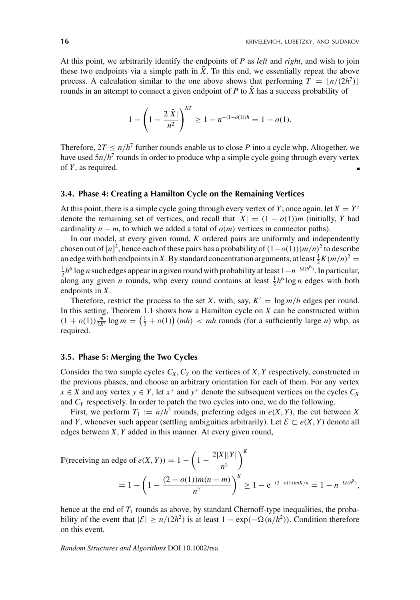At this point, we arbitrarily identify the endpoints of *P* as *left* and *right*, and wish to join these two endpoints via a simple path in  $\tilde{X}$ . To this end, we essentially repeat the above process. A calculation similar to the one above shows that performing  $T = |n/(2h^7)|$ rounds in an attempt to connect a given endpoint of  $P$  to  $\tilde{X}$  has a success probability of

$$
1 - \left(1 - \frac{2|\tilde{X}|}{n^2}\right)^{KT} \ge 1 - n^{-(1-o(1))h} = 1 - o(1).
$$

Therefore,  $2T \le n/h^7$  further rounds enable us to close *P* into a cycle whp. Altogether, we have used  $5n/h^7$  rounds in order to produce whp a simple cycle going through every vertex of *Y*, as required.

#### **3.4. Phase 4: Creating a Hamilton Cycle on the Remaining Vertices**

At this point, there is a simple cycle going through every vertex of *Y*; once again, let  $X = Y<sup>c</sup>$ denote the remaining set of vertices, and recall that  $|X| = (1 - o(1))m$  (initially, *Y* had cardinality  $n - m$ , to which we added a total of  $o(m)$  vertices in connector paths).

In our model, at every given round, *K* ordered pairs are uniformly and independently chosen out of  $[n]^2$ , hence each of these pairs has a probability of  $(1 - o(1))(m/n)^2$  to describe an edge with both endpoints in X. By standard concentration arguments, at least  $\frac{1}{2}K(m/n)^2$  = <sup>1</sup>/<sub>2</sub>*h*<sup>6</sup> log *n* such edges appear in a given round with probability at least 1−*n*<sup>-Ω(*h*<sup>6</sup>)</sup>. In particular, along any given *n* rounds, whp every round contains at least  $\frac{1}{2}h^6 \log n$  edges with both endpoints in *X*.

Therefore, restrict the process to the set *X*, with, say,  $K' = \log m/h$  edges per round. In this setting, Theorem 1.1 shows how a Hamilton cycle on *X* can be constructed within  $(1 + o(1))\frac{m}{2K'}\log m = \left(\frac{1}{2} + o(1)\right)(mh) < mh$  rounds (for a sufficiently large *n*) whp, as required.

# **3.5. Phase 5: Merging the Two Cycles**

Consider the two simple cycles  $C_X$ ,  $C_Y$  on the vertices of *X*, *Y* respectively, constructed in the previous phases, and choose an arbitrary orientation for each of them. For any vertex *x* ∈ *X* and any vertex *y* ∈ *Y*, let *x*<sup>+</sup> and *y*<sup>+</sup> denote the subsequent vertices on the cycles  $C_X$ and  $C_Y$  respectively. In order to patch the two cycles into one, we do the following.

First, we perform  $T_1 := n/h^2$  rounds, preferring edges in  $e(X, Y)$ , the cut between X and *Y*, whenever such appear (settling ambiguities arbitrarily). Let  $\mathcal{E} \subset e(X, Y)$  denote all edges between *X*, *Y* added in this manner. At every given round,

$$
\mathbb{P}(\text{receiving an edge of } e(X, Y)) = 1 - \left(1 - \frac{2|X||Y|}{n^2}\right)^K
$$
  
=  $1 - \left(1 - \frac{(2 - o(1))m(n - m)}{n^2}\right)^K \ge 1 - e^{-(2 - o(1))mK/n} = 1 - n^{-\Omega(h^8)},$ 

hence at the end of  $T_1$  rounds as above, by standard Chernoff-type inequalities, the probability of the event that  $|\mathcal{E}| \ge n/(2h^2)$  is at least 1 − exp(−Ω(*n*/*h*<sup>2</sup>)). Condition therefore on this event.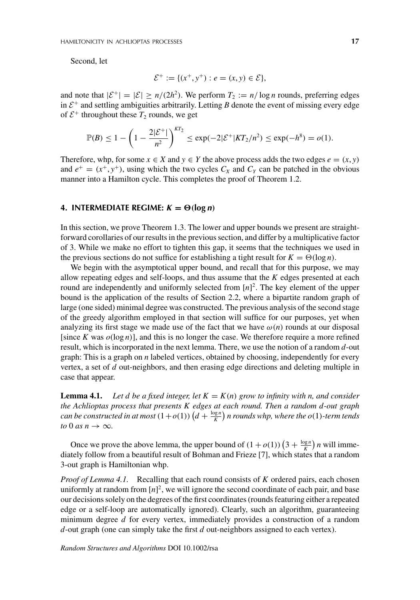Second, let

$$
\mathcal{E}^+ := \{ (x^+, y^+) : e = (x, y) \in \mathcal{E} \},\
$$

and note that  $|\mathcal{E}^+| = |\mathcal{E}| \ge n/(2h^2)$ . We perform  $T_2 := n/\log n$  rounds, preferring edges in  $\mathcal{E}^+$  and settling ambiguities arbitrarily. Letting *B* denote the event of missing every edge of  $\mathcal{E}^+$  throughout these  $T_2$  rounds, we get

$$
\mathbb{P}(B) \le 1 - \left(1 - \frac{2|\mathcal{E}^+|}{n^2}\right)^{KT_2} \le \exp(-2|\mathcal{E}^+|KT_2/n^2) \le \exp(-h^8) = o(1).
$$

Therefore, whp, for some  $x \in X$  and  $y \in Y$  the above process adds the two edges  $e = (x, y)$ and  $e^+ = (x^+, y^+)$ , using which the two cycles  $C_X$  and  $C_Y$  can be patched in the obvious manner into a Hamilton cycle. This completes the proof of Theorem 1.2.

# **4. INTERMEDIATE REGIME:**  $K = \Theta(\log n)$

In this section, we prove Theorem 1.3. The lower and upper bounds we present are straightforward corollaries of our results in the previous section, and differ by a multiplicative factor of 3. While we make no effort to tighten this gap, it seems that the techniques we used in the previous sections do not suffice for establishing a tight result for  $K = \Theta(\log n)$ .

We begin with the asymptotical upper bound, and recall that for this purpose, we may allow repeating edges and self-loops, and thus assume that the *K* edges presented at each round are independently and uniformly selected from [*n*] 2. The key element of the upper bound is the application of the results of Section 2.2, where a bipartite random graph of large (one sided) minimal degree was constructed. The previous analysis of the second stage of the greedy algorithm employed in that section will suffice for our purposes, yet when analyzing its first stage we made use of the fact that we have  $\omega(n)$  rounds at our disposal [since *K* was  $o(\log n)$ ], and this is no longer the case. We therefore require a more refined result, which is incorporated in the next lemma. There, we use the notion of a random *d*-out graph: This is a graph on *n* labeled vertices, obtained by choosing, independently for every vertex, a set of *d* out-neighbors, and then erasing edge directions and deleting multiple in case that appear.

**Lemma 4.1.** Let d be a fixed integer, let  $K = K(n)$  grow to infinity with n, and consider *the Achlioptas process that presents K edges at each round. Then a random d-out graph can be constructed in at most*  $(1+o(1))$   $\left(d+\frac{\log n}{K}\right)$  *n rounds whp, where the o*(1)-term tends *to* 0 *as*  $n \rightarrow \infty$ *.* 

Once we prove the above lemma, the upper bound of  $(1 + o(1)) (3 + \frac{\log n}{K}) n$  will immediately follow from a beautiful result of Bohman and Frieze [7], which states that a random 3-out graph is Hamiltonian whp.

*Proof of Lemma 4.1.* Recalling that each round consists of *K* ordered pairs, each chosen uniformly at random from  $[n]^2$ , we will ignore the second coordinate of each pair, and base our decisions solely on the degrees of the first coordinates (rounds featuring either a repeated edge or a self-loop are automatically ignored). Clearly, such an algorithm, guaranteeing minimum degree *d* for every vertex, immediately provides a construction of a random *d*-out graph (one can simply take the first *d* out-neighbors assigned to each vertex).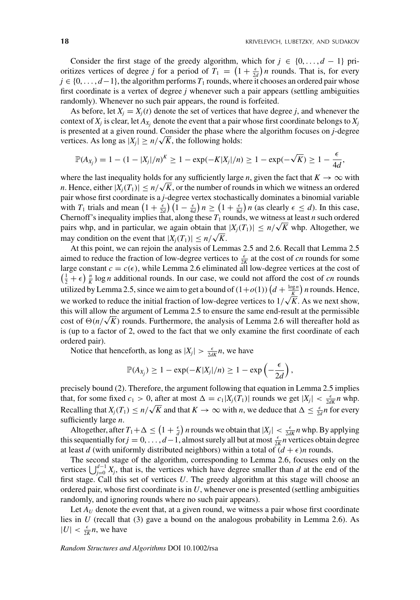Consider the first stage of the greedy algorithm, which for  $j \in \{0, \ldots, d-1\}$  prioritizes vertices of degree *j* for a period of  $T_1 = \left(1 + \frac{\epsilon}{2d}\right)n$  rounds. That is, for every  $j \in \{0, \ldots, d-1\}$ , the algorithm performs  $T_1$  rounds, where it chooses an ordered pair whose first coordinate is a vertex of degree *j* whenever such a pair appears (settling ambiguities randomly). Whenever no such pair appears, the round is forfeited.

As before, let  $X_i = X_i(t)$  denote the set of vertices that have degree *j*, and whenever the context of  $X_j$  is clear, let  $A_{X_j}$  denote the event that a pair whose first coordinate belongs to  $X_j$ is presented at a given round. Consider the phase where the algorithm focuses on *j*-degree vertices. As long as  $|X_j| \ge n/\sqrt{K}$ , the following holds:

$$
\mathbb{P}(A_{X_j}) = 1 - (1 - |X_j|/n)^K \ge 1 - \exp(-K|X_j|/n) \ge 1 - \exp(-\sqrt{K}) \ge 1 - \frac{\epsilon}{4d},
$$

where the last inequality holds for any sufficiently large *n*, given the fact that  $K \to \infty$  with *n*. Hence, either  $|X_j(T_1)| \le n/\sqrt{K}$ , or the number of rounds in which we witness an ordered pair whose first coordinate is a *j*-degree vertex stochastically dominates a binomial variable with  $T_1$  trials and mean  $\left(1 + \frac{\epsilon}{2d}\right)\left(1 - \frac{\epsilon}{4d}\right)n \ge \left(1 + \frac{\epsilon}{8d}\right)n$  (as clearly  $\epsilon \le d$ ). In this case, Chernoff's inequality implies that, along these  $T_1$  rounds, we witness at least *n* such ordered pairs whp, and in particular, we again obtain that  $|X_j(T_1)| \le n/\sqrt{K}$  whp. Altogether, we pairs may condition on the event that  $|X_j(T_1)| \le n/\sqrt{K}$ .

At this point, we can rejoin the analysis of Lemmas 2.5 and 2.6. Recall that Lemma 2.5 aimed to reduce the fraction of low-degree vertices to  $\frac{\epsilon}{2K}$  at the cost of *cn* rounds for some large constant  $c = c(\epsilon)$ , while Lemma 2.6 eliminated all low-degree vertices at the cost of  $\left(\frac{1}{2} + \epsilon\right)$   $\frac{n}{K}$  log *n* additional rounds. In our case, we could not afford the cost of *cn* rounds utilized by Lemma 2.5, since we aim to get a bound of  $(1+o(1))$   $\left(d+\frac{\log n}{K}\right)n$  rounds. Hence, we worked to reduce the initial fraction of low-degree vertices to  $1/\sqrt{\frac{k}{K}}$ . As we next show, this will allow the argument of Lemma 2.5 to ensure the same end-result at the permissible cost of  $\Theta(n/\sqrt{K})$  rounds. Furthermore, the analysis of Lemma 2.6 will thereafter hold as is (up to a factor of 2, owed to the fact that we only examine the first coordinate of each ordered pair).

Notice that henceforth, as long as  $|X_j| > \frac{\epsilon}{2dK}n$ , we have

$$
\mathbb{P}(A_{X_j}) \geq 1 - \exp(-K|X_j|/n) \geq 1 - \exp\left(-\frac{\epsilon}{2d}\right),
$$

precisely bound (2). Therefore, the argument following that equation in Lemma 2.5 implies that, for some fixed  $c_1 > 0$ , after at most  $\Delta = c_1 |X_j(T_1)|$  rounds we get  $|X_j| < \frac{\epsilon}{2dK} n$  whp. Recalling that  $X_j(T_1) \le n/\sqrt{K}$  and that  $K \to \infty$  with *n*, we deduce that  $\Delta \le \frac{\epsilon}{2d}n$  for every sufficiently large *n*.

Altogether, after  $T_1 + \Delta \leq (1 + \frac{\epsilon}{d}) n$  rounds we obtain that  $|X_j| < \frac{\epsilon}{2dK} n$  whp. By applying this sequentially for  $j = 0, \ldots, d-1$ , almost surely all but at most  $\frac{\epsilon}{2K}n$  vertices obtain degree at least *d* (with uniformly distributed neighbors) within a total of  $(d + \epsilon)n$  rounds.

The second stage of the algorithm, corresponding to Lemma 2.6, focuses only on the vertices  $\bigcup_{j=0}^{d-1} X_j$ , that is, the vertices which have degree smaller than *d* at the end of the first stage. Call this set of vertices *U*. The greedy algorithm at this stage will choose an ordered pair, whose first coordinate is in *U*, whenever one is presented (settling ambiguities randomly, and ignoring rounds where no such pair appears).

Let  $A_U$  denote the event that, at a given round, we witness a pair whose first coordinate lies in *U* (recall that (3) gave a bound on the analogous probability in Lemma 2.6). As  $|U| < \frac{\epsilon}{2K}n$ , we have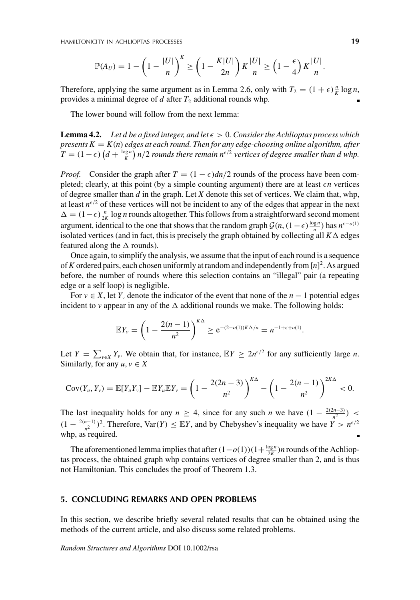$$
\mathbb{P}(A_U) = 1 - \left(1 - \frac{|U|}{n}\right)^K \ge \left(1 - \frac{K|U|}{2n}\right)K\frac{|U|}{n} \ge \left(1 - \frac{\epsilon}{4}\right)K\frac{|U|}{n}.
$$

Therefore, applying the same argument as in Lemma 2.6, only with  $T_2 = (1 + \epsilon) \frac{n}{K} \log n$ , provides a minimal degree of  $d$  after  $T_2$  additional rounds whp.

The lower bound will follow from the next lemma:

**Lemma 4.2.** Let d be a fixed integer, and let  $\epsilon > 0$ . Consider the Achlioptas process which *presents*  $K = K(n)$  *edges at each round. Then for any edge-choosing online algorithm, after*  $T = (1 - \epsilon) \left( d + \frac{\log n}{K} \right) n/2$  *rounds there remain*  $n^{\epsilon/2}$  *vertices of degree smaller than d whp.* 

*Proof.* Consider the graph after  $T = (1 - \epsilon)dn/2$  rounds of the process have been completed; clearly, at this point (by a simple counting argument) there are at least  $\epsilon n$  vertices of degree smaller than *d* in the graph. Let *X* denote this set of vertices. We claim that, whp, at least  $n^{\epsilon/2}$  of these vertices will not be incident to any of the edges that appear in the next  $\Delta = (1-\epsilon)\frac{n}{2K}$  log *n* rounds altogether. This follows from a straightforward second moment argument, identical to the one that shows that the random graph  $\mathcal{G}(n,(1-\epsilon)\frac{\log n}{n})$  has  $n^{\epsilon-o(1)}$ isolated vertices (and in fact, this is precisely the graph obtained by collecting all  $K\Delta$  edges featured along the  $\Delta$  rounds).

Once again, to simplify the analysis, we assume that the input of each round is a sequence of*K* ordered pairs, each chosen uniformly at random and independently from[*n*] 2. As argued before, the number of rounds where this selection contains an "illegal" pair (a repeating edge or a self loop) is negligible.

For  $v \in X$ , let  $Y_v$  denote the indicator of the event that none of the  $n-1$  potential edges incident to *v* appear in any of the  $\Delta$  additional rounds we make. The following holds:

$$
\mathbb{E}Y_{\nu} = \left(1 - \frac{2(n-1)}{n^2}\right)^{K\Delta} \ge e^{-(2-o(1))K\Delta/n} = n^{-1+\epsilon+o(1)}.
$$

Let  $Y = \sum_{v \in X} Y_v$ . We obtain that, for instance,  $EY \ge 2n^{\epsilon/2}$  for any sufficiently large *n*. Similarly, for any  $u, v \in X$ 

$$
Cov(Y_u, Y_v) = \mathbb{E}[Y_u Y_v] - \mathbb{E}Y_u \mathbb{E}Y_v = \left(1 - \frac{2(2n-3)}{n^2}\right)^{K\Delta} - \left(1 - \frac{2(n-1)}{n^2}\right)^{2K\Delta} < 0.
$$

The last inequality holds for any  $n \geq 4$ , since for any such *n* we have  $(1 - \frac{2(2n-3)}{n^2})$  $(1 - \frac{2(n-1)}{n^2})^2$ . Therefore, Var(*Y*)  $\leq \mathbb{E}Y$ , and by Chebyshev's inequality we have  $\hat{Y} > n^{\epsilon/2}$ whp, as required.

The aforementioned lemma implies that after  $(1-o(1))(1+\frac{\log n}{2K})n$  rounds of the Achlioptas process, the obtained graph whp contains vertices of degree smaller than 2, and is thus not Hamiltonian. This concludes the proof of Theorem 1.3.

#### **5. CONCLUDING REMARKS AND OPEN PROBLEMS**

In this section, we describe briefly several related results that can be obtained using the methods of the current article, and also discuss some related problems.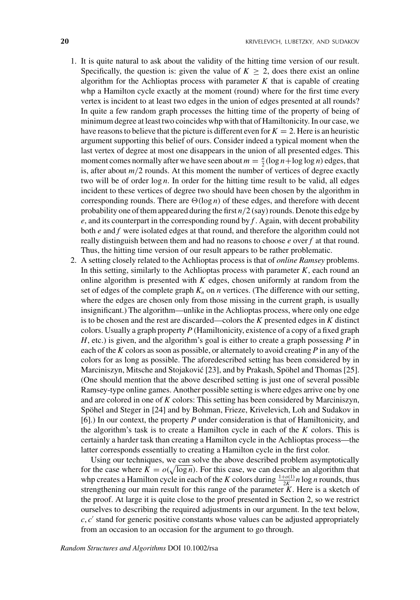- 1. It is quite natural to ask about the validity of the hitting time version of our result. Specifically, the question is: given the value of  $K \geq 2$ , does there exist an online algorithm for the Achlioptas process with parameter  $K$  that is capable of creating whp a Hamilton cycle exactly at the moment (round) where for the first time every vertex is incident to at least two edges in the union of edges presented at all rounds? In quite a few random graph processes the hitting time of the property of being of minimum degree at least two coincides whp with that of Hamiltonicity. In our case, we have reasons to believe that the picture is different even for  $K = 2$ . Here is an heuristic argument supporting this belief of ours. Consider indeed a typical moment when the last vertex of degree at most one disappears in the union of all presented edges. This moment comes normally after we have seen about  $m = \frac{n}{2} (\log n + \log \log n)$  edges, that is, after about  $m/2$  rounds. At this moment the number of vertices of degree exactly two will be of order log *n*. In order for the hitting time result to be valid, all edges incident to these vertices of degree two should have been chosen by the algorithm in corresponding rounds. There are  $\Theta(\log n)$  of these edges, and therefore with decent probability one of them appeared during the first *n*/2 (say) rounds. Denote this edge by *e*, and its counterpart in the corresponding round by *f* . Again, with decent probability both *e* and *f* were isolated edges at that round, and therefore the algorithm could not really distinguish between them and had no reasons to choose *e* over *f* at that round. Thus, the hitting time version of our result appears to be rather problematic.
- 2. A setting closely related to the Achlioptas process is that of *online Ramsey* problems. In this setting, similarly to the Achlioptas process with parameter  $K$ , each round an online algorithm is presented with *K* edges, chosen uniformly at random from the set of edges of the complete graph  $K_n$  on  $n$  vertices. (The difference with our setting, where the edges are chosen only from those missing in the current graph, is usually insignificant.) The algorithm—unlike in the Achlioptas process, where only one edge is to be chosen and the rest are discarded—colors the *K* presented edges in *K* distinct colors. Usually a graph property *P* (Hamiltonicity, existence of a copy of a fixed graph *H*, etc.) is given, and the algorithm's goal is either to create a graph possessing *P* in each of the *K* colors as soon as possible, or alternately to avoid creating *P* in any of the colors for as long as possible. The aforedescribed setting has been considered by in Marciniszyn, Mitsche and Stojaković [23], and by Prakash, Spöhel and Thomas [25]. (One should mention that the above described setting is just one of several possible Ramsey-type online games. Another possible setting is where edges arrive one by one and are colored in one of *K* colors: This setting has been considered by Marciniszyn, Spöhel and Steger in [24] and by Bohman, Frieze, Krivelevich, Loh and Sudakov in [6].) In our context, the property *P* under consideration is that of Hamiltonicity, and the algorithm's task is to create a Hamilton cycle in each of the *K* colors. This is certainly a harder task than creating a Hamilton cycle in the Achlioptas process—the latter corresponds essentially to creating a Hamilton cycle in the first color.

Using our techniques, we can solve the above described problem asymptotically for the case where  $K = o(\sqrt{\log n})$ . For this case, we can describe an algorithm that whp creates a Hamilton cycle in each of the *K* colors during  $\frac{1+o(1)}{2K}n \log n$  rounds, thus strengthening our main result for this range of the parameter *K*. Here is a sketch of the proof. At large it is quite close to the proof presented in Section 2, so we restrict ourselves to describing the required adjustments in our argument. In the text below,  $c, c'$  stand for generic positive constants whose values can be adjusted appropriately from an occasion to an occasion for the argument to go through.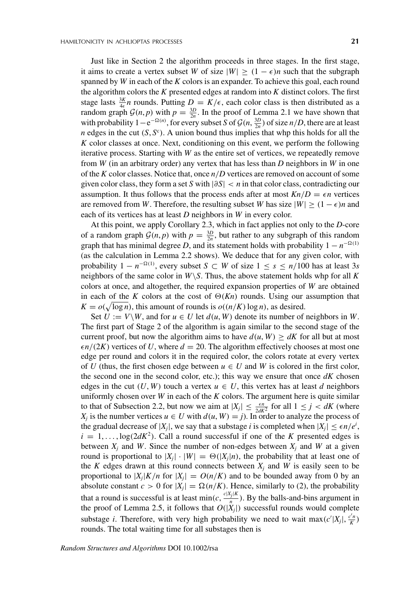Just like in Section 2 the algorithm proceeds in three stages. In the first stage, it aims to create a vertex subset *W* of size  $|W| \ge (1 - \epsilon)n$  such that the subgraph spanned by *W* in each of the *K* colors is an expander. To achieve this goal, each round the algorithm colors the *K* presented edges at random into *K* distinct colors. The first stage lasts  $\frac{3K}{4\epsilon}n$  rounds. Putting  $D = K/\epsilon$ , each color class is then distributed as a random graph  $\mathcal{G}(n, p)$  with  $p = \frac{3D}{2n}$ . In the proof of Lemma 2.1 we have shown that with probability  $1-e^{-\Omega(n)}$ , for every subset *S* of  $\mathcal{G}(n, \frac{3D}{2n})$  of size *n*/*D*, there are at least *n* edges in the cut  $(S, S^c)$ . A union bound thus implies that whp this holds for all the *K* color classes at once. Next, conditioning on this event, we perform the following iterative process. Starting with *W* as the entire set of vertices, we repeatedly remove from *W* (in an arbitrary order) any vertex that has less than *D* neighbors in *W* in one of the *K* color classes. Notice that, once *n*/*D* vertices are removed on account of some given color class, they form a set *S* with |∂*S*| < *n* in that color class, contradicting our assumption. It thus follows that the process ends after at most  $Kn/D = \epsilon n$  vertices are removed from *W*. Therefore, the resulting subset *W* has size  $|W| \ge (1 - \epsilon)n$  and each of its vertices has at least *D* neighbors in *W* in every color.

At this point, we apply Corollary 2.3, which in fact applies not only to the *D*-core of a random graph  $G(n, p)$  with  $p = \frac{3D}{2n}$ , but rather to any subgraph of this random graph that has minimal degree *D*, and its statement holds with probability  $1 - n^{-\Omega(1)}$ (as the calculation in Lemma 2.2 shows). We deduce that for any given color, with probability  $1 - n^{-\Omega(1)}$ , every subset  $S \subset W$  of size  $1 \leq s \leq n/100$  has at least 3*s* neighbors of the same color in  $W \setminus S$ . Thus, the above statement holds whp for all K colors at once, and altogether, the required expansion properties of *W* are obtained in each of the *K* colors at the cost of  $\Theta(Kn)$  rounds. Using our assumption that  $K = o(\sqrt{\log n})$ , this amount of rounds is  $o((n/K) \log n)$ , as desired.

Set  $U := V \backslash W$ , and for  $u \in U$  let  $d(u, W)$  denote its number of neighbors in W. The first part of Stage 2 of the algorithm is again similar to the second stage of the current proof, but now the algorithm aims to have  $d(u, W) \ge dK$  for all but at most  $\epsilon n/(2K)$  vertices of *U*, where  $d = 20$ . The algorithm effectively chooses at most one edge per round and colors it in the required color, the colors rotate at every vertex of *U* (thus, the first chosen edge between  $u \in U$  and *W* is colored in the first color, the second one in the second color, etc.); this way we ensure that once  $dK$  chosen edges in the cut  $(U, W)$  touch a vertex  $u \in U$ , this vertex has at least *d* neighbors uniformly chosen over *W* in each of the *K* colors. The argument here is quite similar to that of Subsection 2.2, but now we aim at  $|X_j| \leq \frac{\epsilon n}{2dK^2}$  for all  $1 \leq j < dK$  (where *X<sub>i</sub>* is the number vertices  $u \in U$  with  $d(u, W) = j$ ). In order to analyze the process of the gradual decrease of  $|X_j|$ , we say that a substage *i* is completed when  $|X_j| \leq \epsilon n/e^i$ ,  $i = 1, \ldots, \log(2dK^2)$ . Call a round successful if one of the *K* presented edges is between  $X_i$  and W. Since the number of non-edges between  $X_i$  and W at a given round is proportional to  $|X_j| \cdot |W| = \Theta(|X_j|n)$ , the probability that at least one of the *K* edges drawn at this round connects between  $X_i$  and *W* is easily seen to be proportional to  $|X_i|K/n$  for  $|X_i| = O(n/K)$  and to be bounded away from 0 by an absolute constant  $c > 0$  for  $|X_i| = \Omega(n/K)$ . Hence, similarly to (2), the probability that a round is successful is at least  $\min(c, \frac{c|X_j|K}{n})$ . By the balls-and-bins argument in the proof of Lemma 2.5, it follows that  $O(|X_j|)$  successful rounds would complete substage *i*. Therefore, with very high probability we need to wait  $\max(c'|X_j|, \frac{c'n}{K})$ rounds. The total waiting time for all substages then is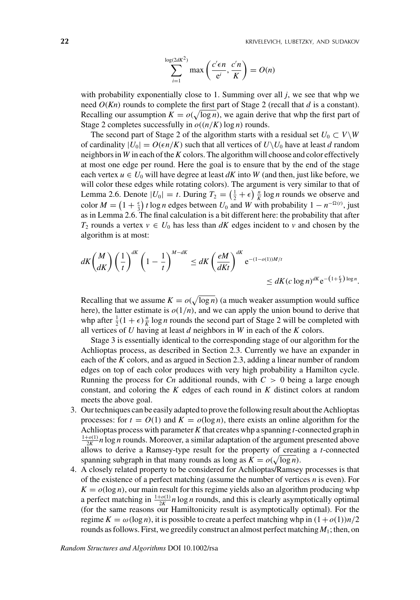$$
\sum_{i=1}^{\log(2dK^2)} \max\left(\frac{c'\epsilon n}{e^i}, \frac{c'n}{K}\right) = O(n)
$$

with probability exponentially close to 1. Summing over all *j*, we see that whp we need *O*(*Kn*) rounds to complete the first part of Stage 2 (recall that *d* is a constant). Recalling our assumption  $K = o(\sqrt{\log n})$ , we again derive that whp the first part of Stage 2 completes successfully in  $o((n/K)\log n)$  rounds.

The second part of Stage 2 of the algorithm starts with a residual set  $U_0 \subset V\backslash W$ of cardinality  $|U_0| = O(\epsilon n/K)$  such that all vertices of  $U\setminus U_0$  have at least *d* random neighbors in *W* in each of the*K* colors. The algorithm will choose and color effectively at most one edge per round. Here the goal is to ensure that by the end of the stage each vertex  $u \in U_0$  will have degree at least  $dK$  into  $W$  (and then, just like before, we will color these edges while rotating colors). The argument is very similar to that of Lemma 2.6. Denote  $|U_0| = t$ . During  $T_2 = \left(\frac{1}{2} + \epsilon\right) \frac{n}{K} \log n$  rounds we observe and color  $M = \left(1 + \frac{\epsilon}{3}\right)t \log n$  edges between  $U_0$  and  $W$  with probability  $1 - n^{-\Omega(t)}$ , just as in Lemma 2.6. The final calculation is a bit different here: the probability that after *T*<sub>2</sub> rounds a vertex  $v \in U_0$  has less than *dK* edges incident to *v* and chosen by the algorithm is at most:

$$
dK\binom{M}{dK}\left(\frac{1}{t}\right)^{dK}\left(1-\frac{1}{t}\right)^{M-dK} \leq dK\left(\frac{eM}{dKt}\right)^{dK}e^{-(1-o(1))M/t} \leq dK(c\log n)^{dK}e^{-(1+\frac{\epsilon}{3})\log n}.
$$

Recalling that we assume  $K = o(\sqrt{\log n})$  (a much weaker assumption would suffice here), the latter estimate is  $o(1/n)$ , and we can apply the union bound to derive that whp after  $\frac{1}{2}(1+\epsilon)\frac{n}{K}\log n$  rounds the second part of Stage 2 will be completed with all vertices of *U* having at least *d* neighbors in *W* in each of the *K* colors.

Stage 3 is essentially identical to the corresponding stage of our algorithm for the Achlioptas process, as described in Section 2.3. Currently we have an expander in each of the *K* colors, and as argued in Section 2.3, adding a linear number of random edges on top of each color produces with very high probability a Hamilton cycle. Running the process for *Cn* additional rounds, with  $C > 0$  being a large enough constant, and coloring the *K* edges of each round in *K* distinct colors at random meets the above goal.

- 3. Our techniques can be easily adapted to prove the following result about the Achlioptas processes: for  $t = O(1)$  and  $K = o(\log n)$ , there exists an online algorithm for the Achlioptas process with parameter*K* that creates whp a spanning *t*-connected graph in  $\frac{1+o(1)}{2K}$  *n* log *n* rounds. Moreover, a similar adaptation of the argument presented above allows to derive a Ramsey-type result for the property of creating a *t*-connected spanning subgraph in that many rounds as long as  $K = o(\sqrt{\log n})$ .
- 4. A closely related property to be considered for Achlioptas/Ramsey processes is that of the existence of a perfect matching (assume the number of vertices *n* is even). For  $K = o(\log n)$ , our main result for this regime yields also an algorithm producing whp a perfect matching in  $\frac{1+o(1)}{2K}n \log n$  rounds, and this is clearly asymptotically optimal (for the same reasons our Hamiltonicity result is asymptotically optimal). For the regime  $K = \omega(\log n)$ , it is possible to create a perfect matching whp in  $(1 + o(1))n/2$ rounds as follows. First, we greedily construct an almost perfect matching  $M_1$ ; then, on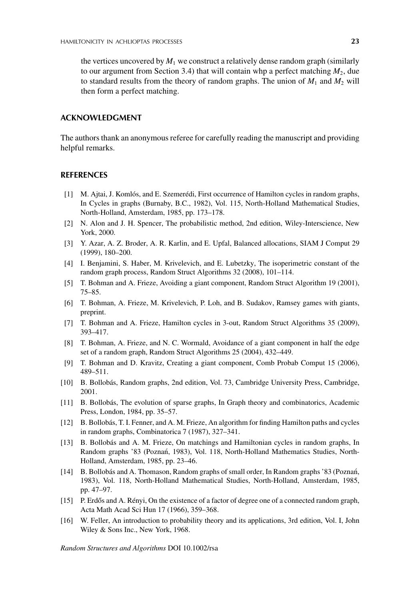the vertices uncovered by  $M_1$  we construct a relatively dense random graph (similarly to our argument from Section 3.4) that will contain whp a perfect matching  $M_2$ , due to standard results from the theory of random graphs. The union of  $M_1$  and  $M_2$  will then form a perfect matching.

#### **ACKNOWLEDGMENT**

The authors thank an anonymous referee for carefully reading the manuscript and providing helpful remarks.

#### **REFERENCES**

- [1] M. Ajtai, J. Komlós, and E. Szemerédi, First occurrence of Hamilton cycles in random graphs, In Cycles in graphs (Burnaby, B.C., 1982), Vol. 115, North-Holland Mathematical Studies, North-Holland, Amsterdam, 1985, pp. 173–178.
- [2] N. Alon and J. H. Spencer, The probabilistic method, 2nd edition, Wiley-Interscience, New York, 2000.
- [3] Y. Azar, A. Z. Broder, A. R. Karlin, and E. Upfal, Balanced allocations, SIAM J Comput 29 (1999), 180–200.
- [4] I. Benjamini, S. Haber, M. Krivelevich, and E. Lubetzky, The isoperimetric constant of the random graph process, Random Struct Algorithms 32 (2008), 101–114.
- [5] T. Bohman and A. Frieze, Avoiding a giant component, Random Struct Algorithm 19 (2001), 75–85.
- [6] T. Bohman, A. Frieze, M. Krivelevich, P. Loh, and B. Sudakov, Ramsey games with giants, preprint.
- [7] T. Bohman and A. Frieze, Hamilton cycles in 3-out, Random Struct Algorithms 35 (2009), 393–417.
- [8] T. Bohman, A. Frieze, and N. C. Wormald, Avoidance of a giant component in half the edge set of a random graph, Random Struct Algorithms 25 (2004), 432–449.
- [9] T. Bohman and D. Kravitz, Creating a giant component, Comb Probab Comput 15 (2006), 489–511.
- [10] B. Bollobás, Random graphs, 2nd edition, Vol. 73, Cambridge University Press, Cambridge, 2001.
- [11] B. Bollobás, The evolution of sparse graphs, In Graph theory and combinatorics, Academic Press, London, 1984, pp. 35–57.
- [12] B. Bollobás, T. I. Fenner, and A. M. Frieze, An algorithm for finding Hamilton paths and cycles in random graphs, Combinatorica 7 (1987), 327–341.
- [13] B. Bollobás and A. M. Frieze, On matchings and Hamiltonian cycles in random graphs, In Random graphs '83 (Poznań, 1983), Vol. 118, North-Holland Mathematics Studies, North-Holland, Amsterdam, 1985, pp. 23–46.
- [14] B. Bollobás and A. Thomason, Random graphs of small order, In Random graphs '83 (Poznan, ´ 1983), Vol. 118, North-Holland Mathematical Studies, North-Holland, Amsterdam, 1985, pp. 47–97.
- [15] P. Erdős and A. Rényi, On the existence of a factor of degree one of a connected random graph, Acta Math Acad Sci Hun 17 (1966), 359–368.
- [16] W. Feller, An introduction to probability theory and its applications, 3rd edition, Vol. I, John Wiley & Sons Inc., New York, 1968.